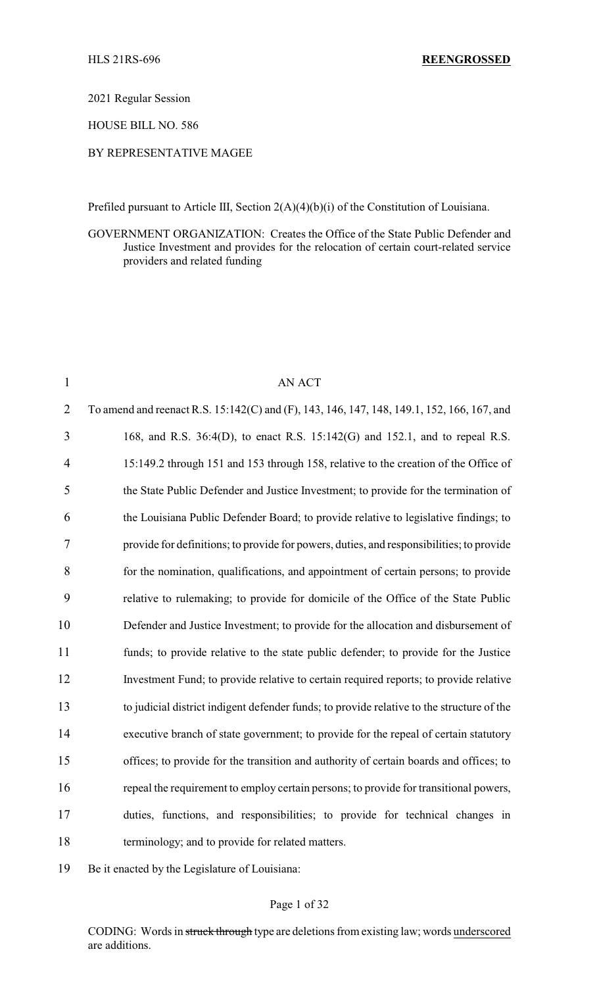2021 Regular Session

HOUSE BILL NO. 586

### BY REPRESENTATIVE MAGEE

Prefiled pursuant to Article III, Section 2(A)(4)(b)(i) of the Constitution of Louisiana.

GOVERNMENT ORGANIZATION: Creates the Office of the State Public Defender and Justice Investment and provides for the relocation of certain court-related service providers and related funding

| $\mathbf{1}$   | <b>AN ACT</b>                                                                              |
|----------------|--------------------------------------------------------------------------------------------|
| $\overline{2}$ | To amend and reenact R.S. 15:142(C) and (F), 143, 146, 147, 148, 149.1, 152, 166, 167, and |
| 3              | 168, and R.S. 36:4(D), to enact R.S. 15:142(G) and 152.1, and to repeal R.S.               |
| 4              | 15:149.2 through 151 and 153 through 158, relative to the creation of the Office of        |
| 5              | the State Public Defender and Justice Investment; to provide for the termination of        |
| 6              | the Louisiana Public Defender Board; to provide relative to legislative findings; to       |
| 7              | provide for definitions; to provide for powers, duties, and responsibilities; to provide   |
| 8              | for the nomination, qualifications, and appointment of certain persons; to provide         |
| 9              | relative to rulemaking; to provide for domicile of the Office of the State Public          |
| 10             | Defender and Justice Investment; to provide for the allocation and disbursement of         |
| 11             | funds; to provide relative to the state public defender; to provide for the Justice        |
| 12             | Investment Fund; to provide relative to certain required reports; to provide relative      |
| 13             | to judicial district indigent defender funds; to provide relative to the structure of the  |
| 14             | executive branch of state government; to provide for the repeal of certain statutory       |
| 15             | offices; to provide for the transition and authority of certain boards and offices; to     |
| 16             | repeal the requirement to employ certain persons; to provide for transitional powers,      |
| 17             | duties, functions, and responsibilities; to provide for technical changes in               |
| 18             | terminology; and to provide for related matters.                                           |
|                |                                                                                            |

Be it enacted by the Legislature of Louisiana:

### Page 1 of 32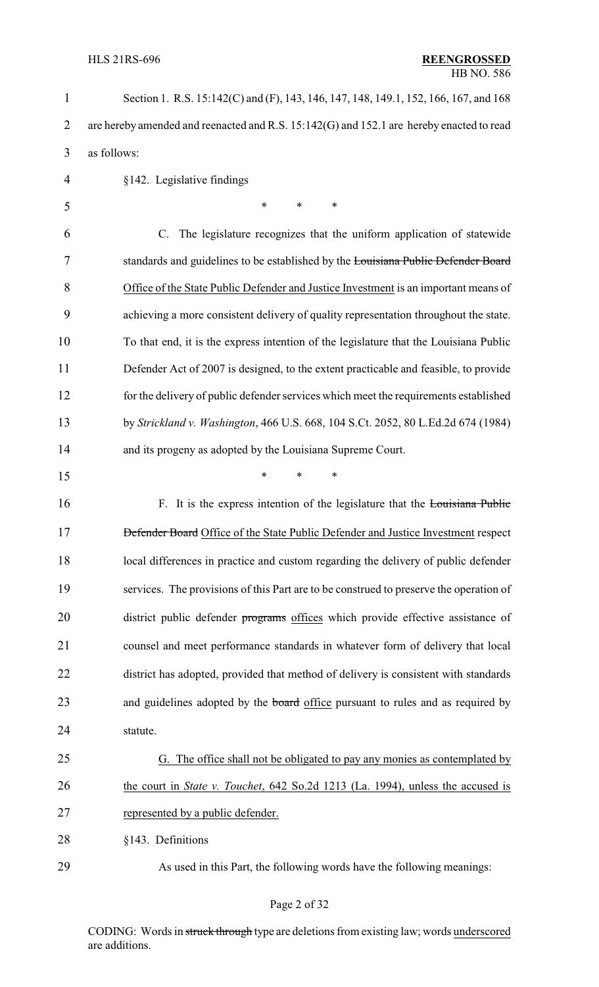| $\mathbf{1}$   | Section 1. R.S. 15:142(C) and (F), 143, 146, 147, 148, 149.1, 152, 166, 167, and 168     |
|----------------|------------------------------------------------------------------------------------------|
| $\overline{2}$ | are hereby amended and reenacted and R.S. 15:142(G) and 152.1 are hereby enacted to read |
| 3              | as follows:                                                                              |
| 4              | §142. Legislative findings                                                               |
| 5              | ∗<br>*<br>∗                                                                              |
| 6              | C. The legislature recognizes that the uniform application of statewide                  |
| 7              | standards and guidelines to be established by the Louisiana Public Defender Board        |
| 8              | Office of the State Public Defender and Justice Investment is an important means of      |
| 9              | achieving a more consistent delivery of quality representation throughout the state.     |
| 10             | To that end, it is the express intention of the legislature that the Louisiana Public    |
| 11             | Defender Act of 2007 is designed, to the extent practicable and feasible, to provide     |
| 12             | for the delivery of public defender services which meet the requirements established     |
| 13             | by Strickland v. Washington, 466 U.S. 668, 104 S.Ct. 2052, 80 L.Ed.2d 674 (1984)         |
| 14             | and its progeny as adopted by the Louisiana Supreme Court.                               |
| 15             | $\ast$<br>*<br>*                                                                         |
| 16             | F. It is the express intention of the legislature that the Louisiana Public              |
| 17             | <b>Defender Board Office of the State Public Defender and Justice Investment respect</b> |
| 18             | local differences in practice and custom regarding the delivery of public defender       |
| 19             | services. The provisions of this Part are to be construed to preserve the operation of   |
| 20             | district public defender programs offices which provide effective assistance of          |
| 21             | counsel and meet performance standards in whatever form of delivery that local           |
| 22             | district has adopted, provided that method of delivery is consistent with standards      |
| 23             | and guidelines adopted by the board office pursuant to rules and as required by          |
| 24             | statute.                                                                                 |
| 25             | G. The office shall not be obligated to pay any monies as contemplated by                |
| 26             | the court in <i>State v. Touchet</i> , 642 So.2d 1213 (La. 1994), unless the accused is  |
| 27             | represented by a public defender.                                                        |
| 28             | §143. Definitions                                                                        |
| 29             | As used in this Part, the following words have the following meanings:                   |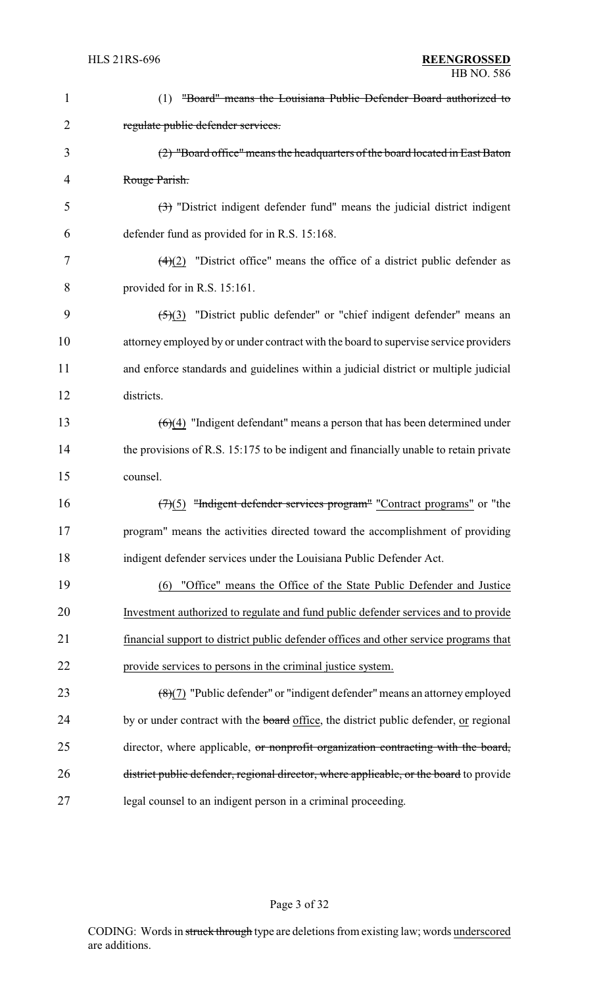| 1              | "Board" means the Louisiana Public Defender Board authorized to<br>(1)                            |
|----------------|---------------------------------------------------------------------------------------------------|
| 2              | regulate public defender services.                                                                |
| 3              | (2) "Board office" means the headquarters of the board located in East Baton                      |
| $\overline{4}$ | Rouge Parish.                                                                                     |
| 5              | $\left(\frac{1}{2}\right)$ "District indigent defender fund" means the judicial district indigent |
| 6              | defender fund as provided for in R.S. 15:168.                                                     |
| 7              | $\left(\frac{4}{2}\right)$ "District office" means the office of a district public defender as    |
| 8              | provided for in R.S. 15:161.                                                                      |
| 9              | "District public defender" or "chief indigent defender" means an<br>$\left( 5\right)$ $(3)$       |
| 10             | attorney employed by or under contract with the board to supervise service providers              |
| 11             | and enforce standards and guidelines within a judicial district or multiple judicial              |
| 12             | districts.                                                                                        |
| 13             | $\left(\frac{6}{4}\right)$ "Indigent defendant" means a person that has been determined under     |
| 14             | the provisions of R.S. 15:175 to be indigent and financially unable to retain private             |
| 15             | counsel.                                                                                          |
| 16             | "Indigent defender services program" "Contract programs" or "the<br>(7)(5)                        |
| 17             | program" means the activities directed toward the accomplishment of providing                     |
| 18             | indigent defender services under the Louisiana Public Defender Act.                               |
| 19             | "Office" means the Office of the State Public Defender and Justice<br>(6)                         |
| 20             | Investment authorized to regulate and fund public defender services and to provide                |
| 21             | financial support to district public defender offices and other service programs that             |
| 22             | provide services to persons in the criminal justice system.                                       |
| 23             | $(8)(7)$ "Public defender" or "indigent defender" means an attorney employed                      |
| 24             | by or under contract with the <b>board</b> office, the district public defender, or regional      |
| 25             | director, where applicable, or nonprofit organization contracting with the board,                 |
| 26             | district public defender, regional director, where applicable, or the board to provide            |
| 27             | legal counsel to an indigent person in a criminal proceeding.                                     |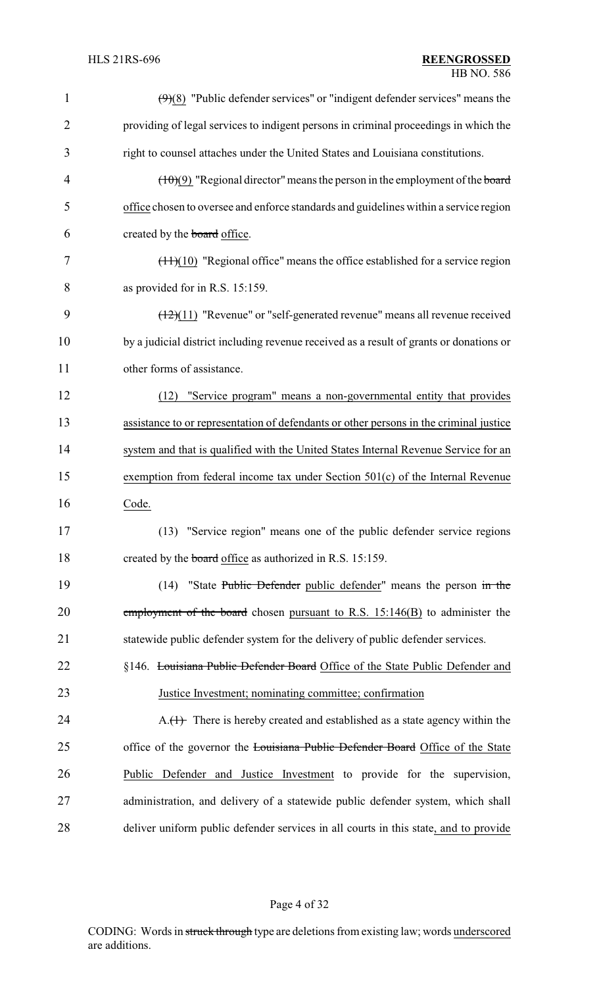| 1              | $\left(\frac{9}{8}\right)$ "Public defender services" or "indigent defender services" means the |
|----------------|-------------------------------------------------------------------------------------------------|
| $\overline{2}$ | providing of legal services to indigent persons in criminal proceedings in which the            |
| 3              | right to counsel attaches under the United States and Louisiana constitutions.                  |
| 4              | $(\pm 0)(9)$ "Regional director" means the person in the employment of the board                |
| 5              | office chosen to oversee and enforce standards and guidelines within a service region           |
| 6              | created by the <b>board</b> office.                                                             |
| 7              | $(\pm 1)(10)$ "Regional office" means the office established for a service region               |
| 8              | as provided for in R.S. 15:159.                                                                 |
| 9              | $(12)(11)$ "Revenue" or "self-generated revenue" means all revenue received                     |
| 10             | by a judicial district including revenue received as a result of grants or donations or         |
| 11             | other forms of assistance.                                                                      |
| 12             | "Service program" means a non-governmental entity that provides<br>(12)                         |
| 13             | assistance to or representation of defendants or other persons in the criminal justice          |
| 14             | system and that is qualified with the United States Internal Revenue Service for an             |
| 15             | exemption from federal income tax under Section 501(c) of the Internal Revenue                  |
| 16             | Code.                                                                                           |
| 17             | (13) "Service region" means one of the public defender service regions                          |
| 18             | created by the board office as authorized in R.S. 15:159.                                       |
| 19             | "State Public Defender public defender" means the person in the<br>(14)                         |
| 20             | employment of the board chosen pursuant to R.S. $15:146(B)$ to administer the                   |
| 21             | statewide public defender system for the delivery of public defender services.                  |
| 22             | §146. Louisiana Public Defender Board Office of the State Public Defender and                   |
| 23             | Justice Investment; nominating committee; confirmation                                          |
| 24             | $A_{\cdot}(1)$ There is hereby created and established as a state agency within the             |
| 25             | office of the governor the Louisiana Public Defender Board Office of the State                  |
| 26             | Public Defender and Justice Investment to provide for the supervision,                          |
| 27             | administration, and delivery of a statewide public defender system, which shall                 |
| 28             | deliver uniform public defender services in all courts in this state, and to provide            |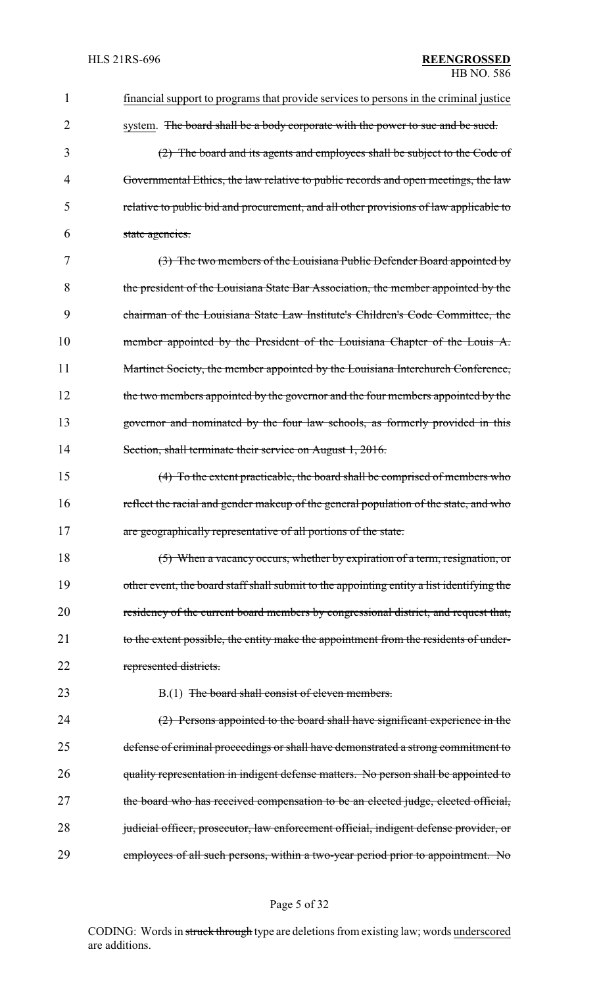| 1  | financial support to programs that provide services to persons in the criminal justice    |
|----|-------------------------------------------------------------------------------------------|
| 2  | system. The board shall be a body corporate with the power to sue and be sued.            |
| 3  | (2) The board and its agents and employees shall be subject to the Code of                |
| 4  | Governmental Ethics, the law relative to public records and open meetings, the law        |
| 5  | relative to public bid and procurement, and all other provisions of law applicable to     |
| 6  | state agencies.                                                                           |
| 7  | (3) The two members of the Louisiana Public Defender Board appointed by                   |
| 8  | the president of the Louisiana State Bar Association, the member appointed by the         |
| 9  | chairman of the Louisiana State Law Institute's Children's Code Committee, the            |
| 10 | member appointed by the President of the Louisiana Chapter of the Louis A.                |
| 11 | Martinet Society, the member appointed by the Louisiana Interchurch Conference,           |
| 12 | the two members appointed by the governor and the four members appointed by the           |
| 13 | governor and nominated by the four law schools, as formerly provided in this              |
| 14 | Section, shall terminate their service on August 1, 2016.                                 |
| 15 | (4) To the extent practicable, the board shall be comprised of members who                |
| 16 | reflect the racial and gender makeup of the general population of the state, and who      |
| 17 | are geographically representative of all portions of the state.                           |
| 18 | (5) When a vacancy occurs, whether by expiration of a term, resignation, or               |
| 19 | other event, the board staff shall submit to the appointing entity a list identifying the |
| 20 | residency of the current board members by congressional district, and request that,       |
| 21 | to the extent possible, the entity make the appointment from the residents of under-      |
| 22 | represented districts.                                                                    |
| 23 | B.(1) The board shall consist of eleven members.                                          |
| 24 | (2) Persons appointed to the board shall have significant experience in the               |
| 25 | defense of criminal proceedings or shall have demonstrated a strong commitment to         |
| 26 | quality representation in indigent defense matters. No person shall be appointed to       |
| 27 | the board who has received compensation to be an elected judge, elected official,         |
| 28 | judicial officer, prosecutor, law enforcement official, indigent defense provider, or     |
| 29 | employees of all such persons, within a two-year period prior to appointment. No          |

# Page 5 of 32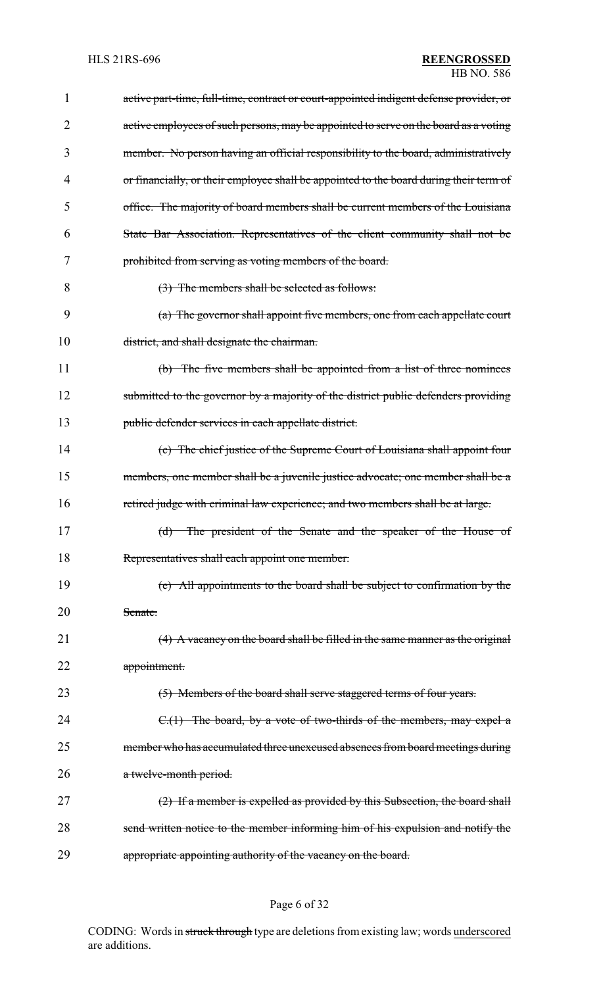| 1              | active part-time, full-time, contract or court-appointed indigent defense provider, or |
|----------------|----------------------------------------------------------------------------------------|
| $\overline{2}$ | active employees of such persons, may be appointed to serve on the board as a voting   |
| 3              | member. No person having an official responsibility to the board, administratively     |
| 4              | or financially, or their employee shall be appointed to the board during their term of |
| 5              | office. The majority of board members shall be current members of the Louisiana        |
| 6              | State Bar Association. Representatives of the client community shall not be            |
| 7              | prohibited from serving as voting members of the board.                                |
| 8              | (3) The members shall be selected as follows:                                          |
| 9              | (a) The governor shall appoint five members, one from each appellate court             |
| 10             | district, and shall designate the chairman.                                            |
| 11             | (b) The five members shall be appointed from a list of three nominees                  |
| 12             | submitted to the governor by a majority of the district public defenders providing     |
| 13             | public defender services in each appellate district.                                   |
| 14             | (c) The chief justice of the Supreme Court of Louisiana shall appoint four             |
| 15             | members, one member shall be a juvenile justice advocate; one member shall be a        |
| 16             | retired judge with criminal law experience; and two members shall be at large.         |
| 17             | (d) The president of the Senate and the speaker of the House of                        |
| 18             | Representatives shall each appoint one member.                                         |
| 19             | (e) All appointments to the board shall be subject to confirmation by the              |
| 20             | Senate.                                                                                |
| 21             | (4) A vacancy on the board shall be filled in the same manner as the original          |
| 22             | appointment.                                                                           |
| 23             | (5) Members of the board shall serve staggered terms of four years.                    |
| 24             | $C1(1)$ The board, by a vote of two-thirds of the members, may expel a                 |
| 25             | member who has accumulated three unexcused absences from board meetings during         |
| 26             | a twelve-month period.                                                                 |
| 27             | (2) If a member is expelled as provided by this Subsection, the board shall            |
| 28             | send written notice to the member informing him of his expulsion and notify the        |
| 29             | appropriate appointing authority of the vacancy on the board.                          |

# Page 6 of 32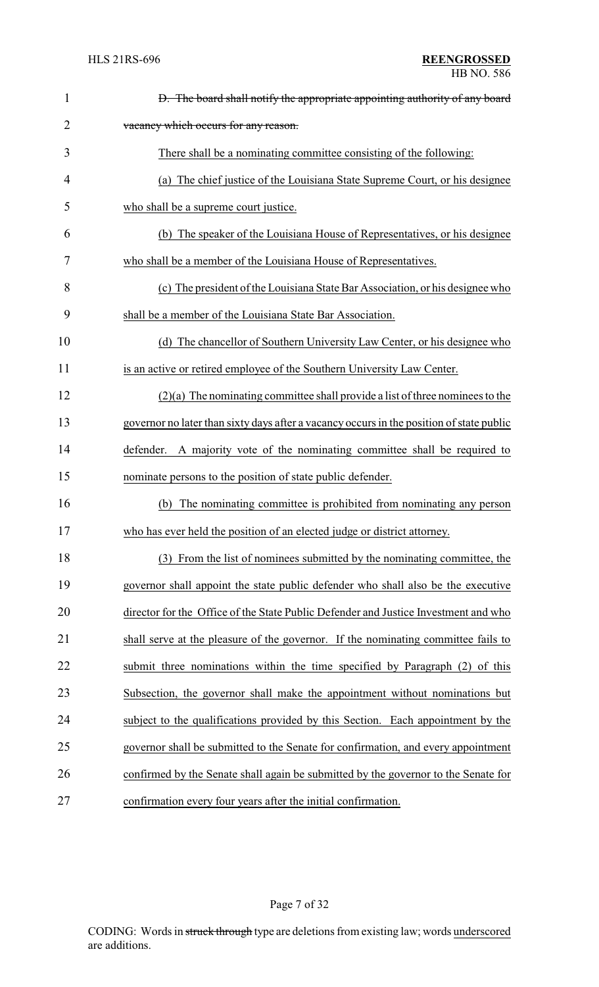| $\mathbf{1}$ | D. The board shall notify the appropriate appointing authority of any board              |
|--------------|------------------------------------------------------------------------------------------|
| 2            | vacancy which occurs for any reason.                                                     |
| 3            | There shall be a nominating committee consisting of the following:                       |
| 4            | (a) The chief justice of the Louisiana State Supreme Court, or his designee              |
| 5            | who shall be a supreme court justice.                                                    |
| 6            | (b) The speaker of the Louisiana House of Representatives, or his designee               |
| 7            | who shall be a member of the Louisiana House of Representatives.                         |
| 8            | (c) The president of the Louisiana State Bar Association, or his designee who            |
| 9            | shall be a member of the Louisiana State Bar Association.                                |
| 10           | (d) The chancellor of Southern University Law Center, or his designee who                |
| 11           | is an active or retired employee of the Southern University Law Center.                  |
| 12           | $(2)(a)$ The nominating committee shall provide a list of three nominees to the          |
| 13           | governor no later than sixty days after a vacancy occurs in the position of state public |
| 14           | A majority vote of the nominating committee shall be required to<br>defender.            |
| 15           | nominate persons to the position of state public defender.                               |
| 16           | The nominating committee is prohibited from nominating any person<br>(b)                 |
| 17           | who has ever held the position of an elected judge or district attorney.                 |
| 18           | From the list of nominees submitted by the nominating committee, the<br>(3)              |
| 19           | governor shall appoint the state public defender who shall also be the executive         |
| 20           | director for the Office of the State Public Defender and Justice Investment and who      |
| 21           | shall serve at the pleasure of the governor. If the nominating committee fails to        |
| 22           | submit three nominations within the time specified by Paragraph (2) of this              |
| 23           | Subsection, the governor shall make the appointment without nominations but              |
| 24           | subject to the qualifications provided by this Section. Each appointment by the          |
| 25           | governor shall be submitted to the Senate for confirmation, and every appointment        |
| 26           | confirmed by the Senate shall again be submitted by the governor to the Senate for       |
| 27           | confirmation every four years after the initial confirmation.                            |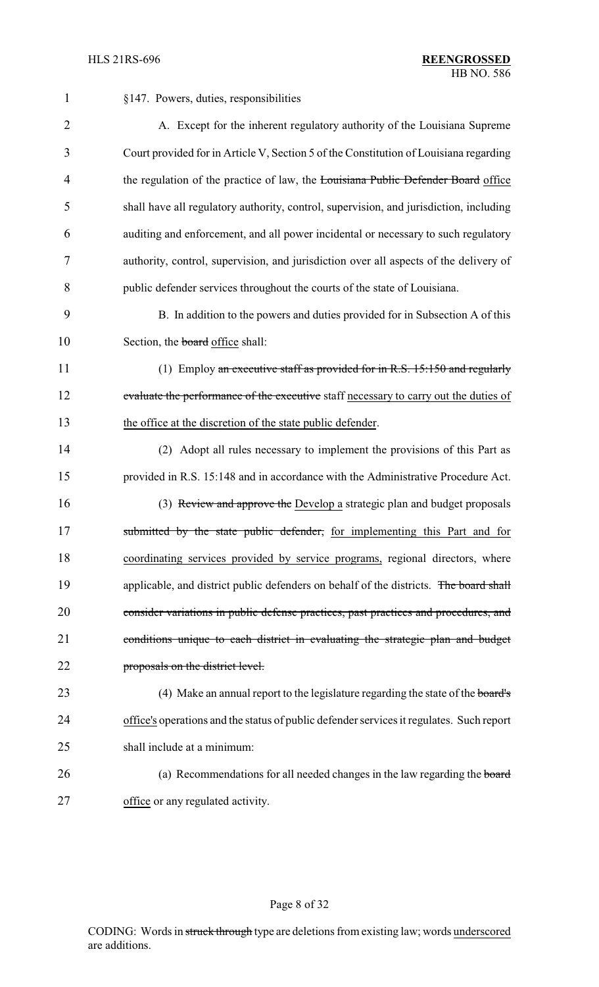| $\mathbf{1}$   | §147. Powers, duties, responsibilities                                                   |
|----------------|------------------------------------------------------------------------------------------|
| $\overline{2}$ | A. Except for the inherent regulatory authority of the Louisiana Supreme                 |
| 3              | Court provided for in Article V, Section 5 of the Constitution of Louisiana regarding    |
| $\overline{4}$ | the regulation of the practice of law, the Louisiana Public Defender Board office        |
| 5              | shall have all regulatory authority, control, supervision, and jurisdiction, including   |
| 6              | auditing and enforcement, and all power incidental or necessary to such regulatory       |
| 7              | authority, control, supervision, and jurisdiction over all aspects of the delivery of    |
| 8              | public defender services throughout the courts of the state of Louisiana.                |
| 9              | B. In addition to the powers and duties provided for in Subsection A of this             |
| 10             | Section, the board office shall:                                                         |
| 11             | (1) Employ an executive staff as provided for in R.S. 15:150 and regularly               |
| 12             | evaluate the performance of the executive staff necessary to carry out the duties of     |
| 13             | the office at the discretion of the state public defender.                               |
| 14             | (2) Adopt all rules necessary to implement the provisions of this Part as                |
| 15             | provided in R.S. 15:148 and in accordance with the Administrative Procedure Act.         |
| 16             | (3) Review and approve the Develop a strategic plan and budget proposals                 |
| 17             | submitted by the state public defender, for implementing this Part and for               |
| 18             | coordinating services provided by service programs, regional directors, where            |
| 19             | applicable, and district public defenders on behalf of the districts. The board shall    |
| 20             | consider variations in public defense practices, past practices and procedures, and      |
| 21             | conditions unique to each district in evaluating the strategic plan and budget           |
| 22             | proposals on the district level.                                                         |
| 23             | (4) Make an annual report to the legislature regarding the state of the board's          |
| 24             | office's operations and the status of public defender services it regulates. Such report |
| 25             | shall include at a minimum:                                                              |
| 26             | (a) Recommendations for all needed changes in the law regarding the board                |
| 27             | office or any regulated activity.                                                        |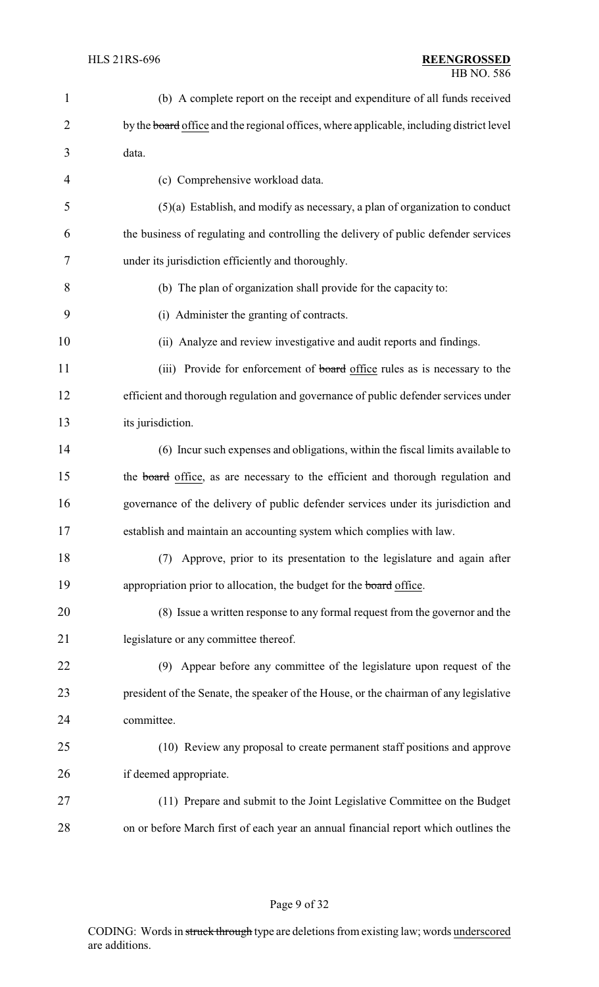| $\mathbf{1}$   | (b) A complete report on the receipt and expenditure of all funds received               |
|----------------|------------------------------------------------------------------------------------------|
| $\overline{2}$ | by the board office and the regional offices, where applicable, including district level |
| 3              | data.                                                                                    |
| 4              | (c) Comprehensive workload data.                                                         |
| 5              | $(5)(a)$ Establish, and modify as necessary, a plan of organization to conduct           |
| 6              | the business of regulating and controlling the delivery of public defender services      |
| 7              | under its jurisdiction efficiently and thoroughly.                                       |
| 8              | (b) The plan of organization shall provide for the capacity to:                          |
| 9              | (i) Administer the granting of contracts.                                                |
| 10             | (ii) Analyze and review investigative and audit reports and findings.                    |
| 11             | (iii) Provide for enforcement of <b>board</b> office rules as is necessary to the        |
| 12             | efficient and thorough regulation and governance of public defender services under       |
| 13             | its jurisdiction.                                                                        |
| 14             | (6) Incur such expenses and obligations, within the fiscal limits available to           |
| 15             | the board office, as are necessary to the efficient and thorough regulation and          |
| 16             | governance of the delivery of public defender services under its jurisdiction and        |
| 17             | establish and maintain an accounting system which complies with law.                     |
| 18             | Approve, prior to its presentation to the legislature and again after<br>(7)             |
| 19             | appropriation prior to allocation, the budget for the board office.                      |
| 20             | (8) Issue a written response to any formal request from the governor and the             |
| 21             | legislature or any committee thereof.                                                    |
| 22             | (9) Appear before any committee of the legislature upon request of the                   |
| 23             | president of the Senate, the speaker of the House, or the chairman of any legislative    |
| 24             | committee.                                                                               |
| 25             | (10) Review any proposal to create permanent staff positions and approve                 |
| 26             | if deemed appropriate.                                                                   |
| 27             | (11) Prepare and submit to the Joint Legislative Committee on the Budget                 |
| 28             | on or before March first of each year an annual financial report which outlines the      |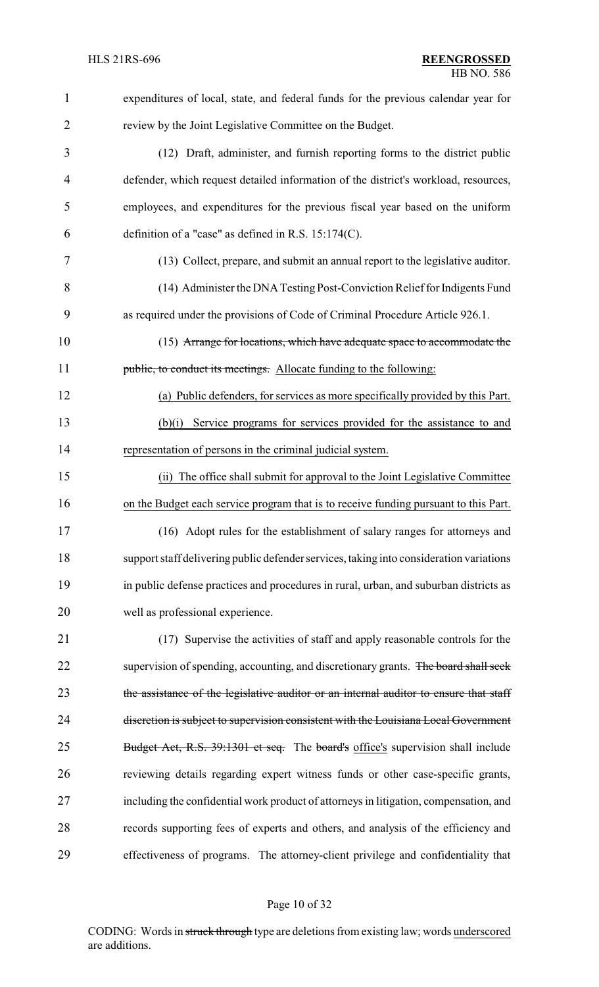| 1              | expenditures of local, state, and federal funds for the previous calendar year for      |
|----------------|-----------------------------------------------------------------------------------------|
| $\overline{2}$ | review by the Joint Legislative Committee on the Budget.                                |
| 3              | (12) Draft, administer, and furnish reporting forms to the district public              |
| $\overline{4}$ | defender, which request detailed information of the district's workload, resources,     |
| 5              | employees, and expenditures for the previous fiscal year based on the uniform           |
| 6              | definition of a "case" as defined in R.S. 15:174(C).                                    |
| 7              | (13) Collect, prepare, and submit an annual report to the legislative auditor.          |
| 8              | (14) Administer the DNA Testing Post-Conviction Relief for Indigents Fund               |
| 9              | as required under the provisions of Code of Criminal Procedure Article 926.1.           |
| 10             | (15) Arrange for locations, which have adequate space to accommodate the                |
| 11             | public, to conduct its meetings. Allocate funding to the following:                     |
| 12             | (a) Public defenders, for services as more specifically provided by this Part.          |
| 13             | Service programs for services provided for the assistance to and<br>(b)(i)              |
| 14             | representation of persons in the criminal judicial system.                              |
| 15             | The office shall submit for approval to the Joint Legislative Committee<br>(ii)         |
| 16             | on the Budget each service program that is to receive funding pursuant to this Part.    |
| 17             | (16) Adopt rules for the establishment of salary ranges for attorneys and               |
| 18             | support staff delivering public defender services, taking into consideration variations |
| 19             | in public defense practices and procedures in rural, urban, and suburban districts as   |
| 20             | well as professional experience.                                                        |
| 21             | (17) Supervise the activities of staff and apply reasonable controls for the            |
| 22             | supervision of spending, accounting, and discretionary grants. The board shall seek     |
| 23             | the assistance of the legislative auditor or an internal auditor to ensure that staff   |
| 24             | discretion is subject to supervision consistent with the Louisiana Local Government     |
| 25             | Budget Act, R.S. 39:1301 et seq. The board's office's supervision shall include         |
| 26             | reviewing details regarding expert witness funds or other case-specific grants,         |
| 27             | including the confidential work product of attorneys in litigation, compensation, and   |
| 28             | records supporting fees of experts and others, and analysis of the efficiency and       |
| 29             | effectiveness of programs. The attorney-client privilege and confidentiality that       |
|                |                                                                                         |

# Page 10 of 32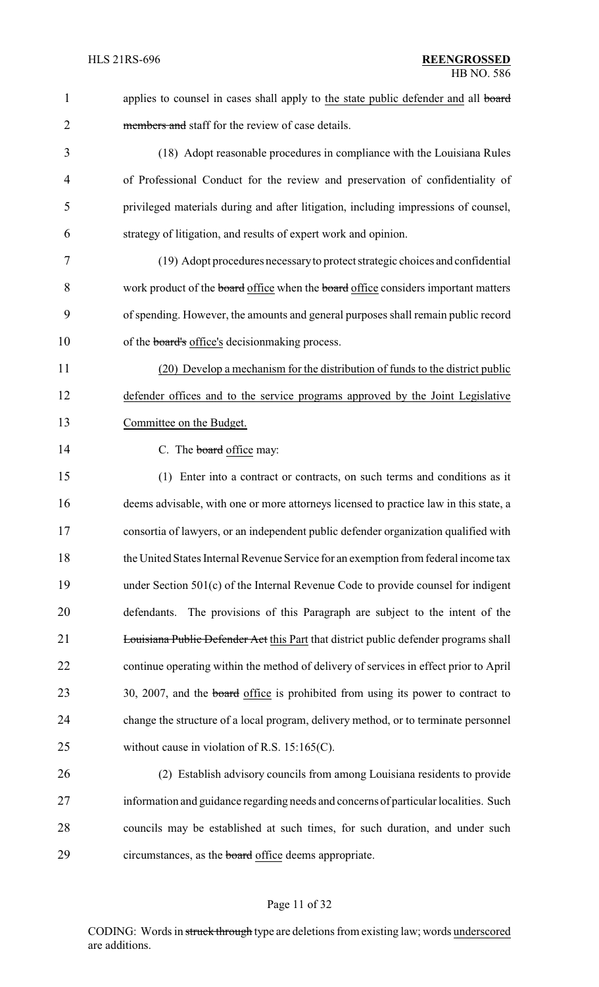| $\mathbf{1}$   | applies to counsel in cases shall apply to the state public defender and all board    |
|----------------|---------------------------------------------------------------------------------------|
| $\overline{2}$ | members and staff for the review of case details.                                     |
| 3              | (18) Adopt reasonable procedures in compliance with the Louisiana Rules               |
| 4              | of Professional Conduct for the review and preservation of confidentiality of         |
| 5              | privileged materials during and after litigation, including impressions of counsel,   |
| 6              | strategy of litigation, and results of expert work and opinion.                       |
| 7              | (19) Adopt procedures necessary to protect strategic choices and confidential         |
| 8              | work product of the board office when the board office considers important matters    |
| 9              | of spending. However, the amounts and general purposes shall remain public record     |
| 10             | of the <b>board's</b> office's decision making process.                               |
| 11             | (20) Develop a mechanism for the distribution of funds to the district public         |
| 12             | defender offices and to the service programs approved by the Joint Legislative        |
| 13             | Committee on the Budget.                                                              |
| 14             | C. The board office may:                                                              |
| 15             | (1) Enter into a contract or contracts, on such terms and conditions as it            |
| 16             | deems advisable, with one or more attorneys licensed to practice law in this state, a |
| 17             | consortia of lawyers, or an independent public defender organization qualified with   |
| 18             | the United States Internal Revenue Service for an exemption from federal income tax   |
| 19             | under Section 501(c) of the Internal Revenue Code to provide counsel for indigent     |
| 20             | The provisions of this Paragraph are subject to the intent of the<br>defendants.      |
| 21             | Louisiana Public Defender Act this Part that district public defender programs shall  |
| 22             | continue operating within the method of delivery of services in effect prior to April |
| 23             | 30, 2007, and the board office is prohibited from using its power to contract to      |
| 24             | change the structure of a local program, delivery method, or to terminate personnel   |
| 25             | without cause in violation of R.S. $15:165(C)$ .                                      |
| 26             | (2) Establish advisory councils from among Louisiana residents to provide             |
| 27             | information and guidance regarding needs and concerns of particular localities. Such  |
| 28             | councils may be established at such times, for such duration, and under such          |
| 29             | circumstances, as the <b>board</b> office deems appropriate.                          |

# Page 11 of 32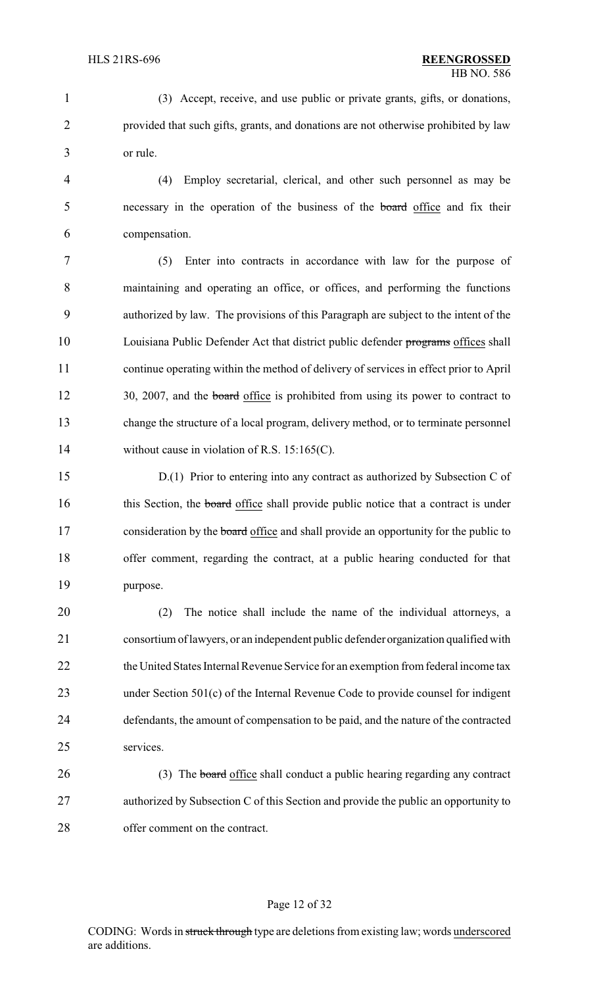(3) Accept, receive, and use public or private grants, gifts, or donations, provided that such gifts, grants, and donations are not otherwise prohibited by law or rule.

 (4) Employ secretarial, clerical, and other such personnel as may be necessary in the operation of the business of the board office and fix their compensation.

 (5) Enter into contracts in accordance with law for the purpose of maintaining and operating an office, or offices, and performing the functions authorized by law. The provisions of this Paragraph are subject to the intent of the 10 Louisiana Public Defender Act that district public defender programs offices shall continue operating within the method of delivery of services in effect prior to April 12 30, 2007, and the board office is prohibited from using its power to contract to change the structure of a local program, delivery method, or to terminate personnel 14 without cause in violation of R.S. 15:165(C).

 D.(1) Prior to entering into any contract as authorized by Subsection C of 16 this Section, the **board** office shall provide public notice that a contract is under 17 consideration by the **board** office and shall provide an opportunity for the public to offer comment, regarding the contract, at a public hearing conducted for that purpose.

 (2) The notice shall include the name of the individual attorneys, a consortium of lawyers, or an independent public defenderorganization qualified with 22 the United States Internal Revenue Service for an exemption from federal income tax under Section 501(c) of the Internal Revenue Code to provide counsel for indigent defendants, the amount of compensation to be paid, and the nature of the contracted services.

26 (3) The board office shall conduct a public hearing regarding any contract authorized by Subsection C of this Section and provide the public an opportunity to offer comment on the contract.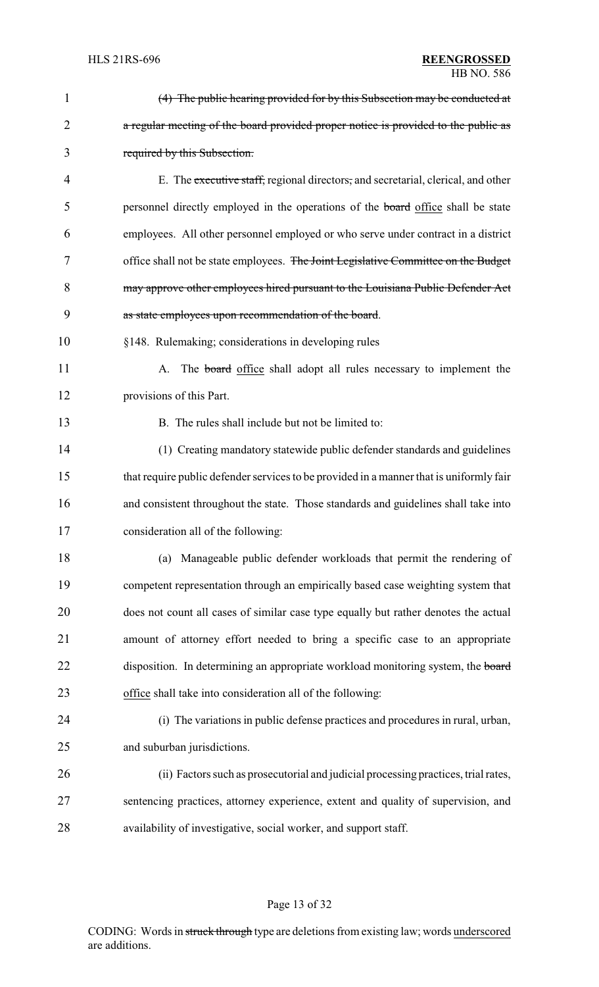| $\mathbf{1}$ | (4) The public hearing provided for by this Subsection may be conducted at              |
|--------------|-----------------------------------------------------------------------------------------|
| 2            | a regular meeting of the board provided proper notice is provided to the public as      |
| 3            | required by this Subsection.                                                            |
| 4            | E. The executive staff, regional directors, and secretarial, clerical, and other        |
| 5            | personnel directly employed in the operations of the board office shall be state        |
| 6            | employees. All other personnel employed or who serve under contract in a district       |
| 7            | office shall not be state employees. The Joint Legislative Committee on the Budget      |
| 8            | may approve other employees hired pursuant to the Louisiana Public Defender Act         |
| 9            | as state employees upon recommendation of the board.                                    |
| 10           | §148. Rulemaking; considerations in developing rules                                    |
| 11           | A. The board office shall adopt all rules necessary to implement the                    |
| 12           | provisions of this Part.                                                                |
| 13           | B. The rules shall include but not be limited to:                                       |
| 14           | (1) Creating mandatory statewide public defender standards and guidelines               |
| 15           | that require public defender services to be provided in a manner that is uniformly fair |
| 16           | and consistent throughout the state. Those standards and guidelines shall take into     |
| 17           | consideration all of the following:                                                     |
| 18           | Manageable public defender workloads that permit the rendering of<br>(a)                |
| 19           | competent representation through an empirically based case weighting system that        |
| 20           | does not count all cases of similar case type equally but rather denotes the actual     |
| 21           | amount of attorney effort needed to bring a specific case to an appropriate             |
| 22           | disposition. In determining an appropriate workload monitoring system, the board        |
| 23           | office shall take into consideration all of the following:                              |
| 24           | (i) The variations in public defense practices and procedures in rural, urban,          |
| 25           | and suburban jurisdictions.                                                             |
| 26           | (ii) Factors such as prosecutorial and judicial processing practices, trial rates,      |
| 27           | sentencing practices, attorney experience, extent and quality of supervision, and       |
| 28           | availability of investigative, social worker, and support staff.                        |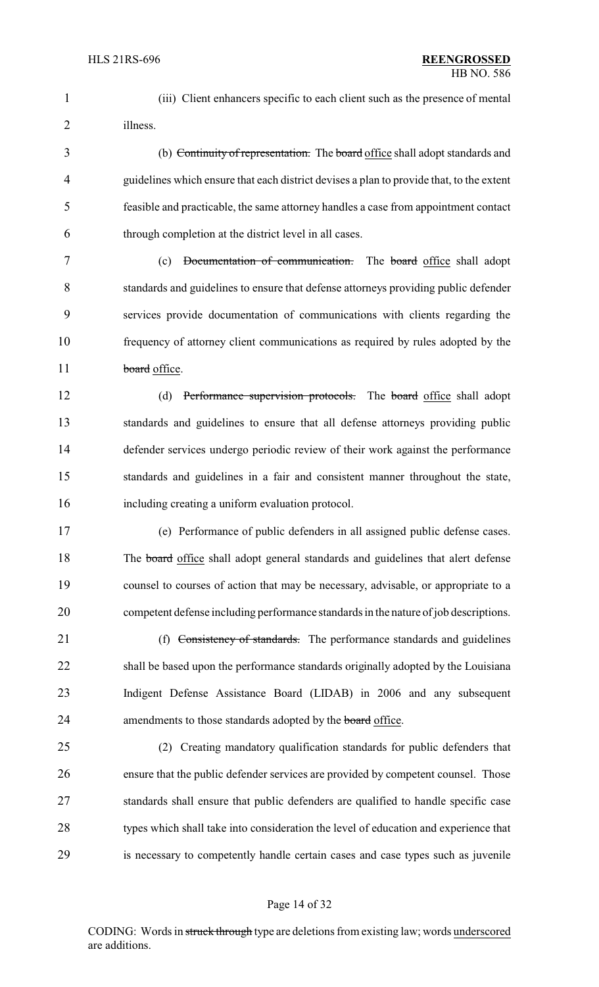(iii) Client enhancers specific to each client such as the presence of mental illness.

 (b) Continuity of representation. The board office shall adopt standards and guidelines which ensure that each district devises a plan to provide that, to the extent feasible and practicable, the same attorney handles a case from appointment contact through completion at the district level in all cases.

 (c) Documentation of communication. The board office shall adopt standards and guidelines to ensure that defense attorneys providing public defender services provide documentation of communications with clients regarding the frequency of attorney client communications as required by rules adopted by the 11 board office.

 (d) Performance supervision protocols. The board office shall adopt standards and guidelines to ensure that all defense attorneys providing public defender services undergo periodic review of their work against the performance standards and guidelines in a fair and consistent manner throughout the state, including creating a uniform evaluation protocol.

 (e) Performance of public defenders in all assigned public defense cases. 18 The board office shall adopt general standards and guidelines that alert defense counsel to courses of action that may be necessary, advisable, or appropriate to a competent defense including performance standards in the nature of job descriptions.

21 (f) Consistency of standards. The performance standards and guidelines shall be based upon the performance standards originally adopted by the Louisiana Indigent Defense Assistance Board (LIDAB) in 2006 and any subsequent 24 amendments to those standards adopted by the board office.

 (2) Creating mandatory qualification standards for public defenders that ensure that the public defender services are provided by competent counsel. Those standards shall ensure that public defenders are qualified to handle specific case types which shall take into consideration the level of education and experience that is necessary to competently handle certain cases and case types such as juvenile

#### Page 14 of 32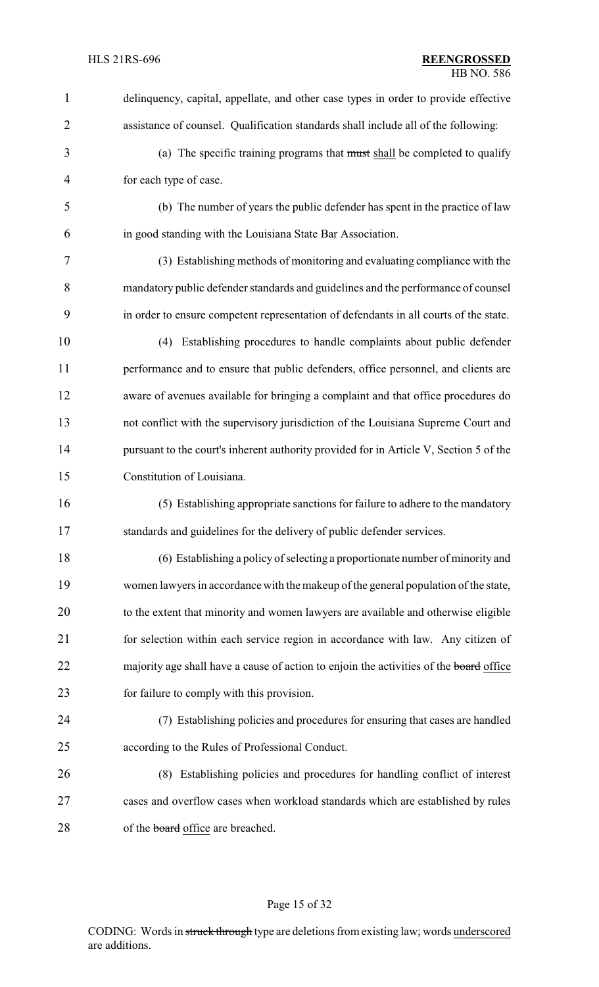| 1              | delinquency, capital, appellate, and other case types in order to provide effective    |
|----------------|----------------------------------------------------------------------------------------|
| $\overline{2}$ | assistance of counsel. Qualification standards shall include all of the following:     |
| 3              | (a) The specific training programs that must shall be completed to qualify             |
| $\overline{4}$ | for each type of case.                                                                 |
| 5              | (b) The number of years the public defender has spent in the practice of law           |
| 6              | in good standing with the Louisiana State Bar Association.                             |
| 7              | (3) Establishing methods of monitoring and evaluating compliance with the              |
| 8              | mandatory public defender standards and guidelines and the performance of counsel      |
| 9              | in order to ensure competent representation of defendants in all courts of the state.  |
| 10             | (4) Establishing procedures to handle complaints about public defender                 |
| 11             | performance and to ensure that public defenders, office personnel, and clients are     |
| 12             | aware of avenues available for bringing a complaint and that office procedures do      |
| 13             | not conflict with the supervisory jurisdiction of the Louisiana Supreme Court and      |
| 14             | pursuant to the court's inherent authority provided for in Article V, Section 5 of the |
| 15             | Constitution of Louisiana.                                                             |
| 16             | (5) Establishing appropriate sanctions for failure to adhere to the mandatory          |
| 17             | standards and guidelines for the delivery of public defender services.                 |
| 18             | (6) Establishing a policy of selecting a proportionate number of minority and          |
| 19             | women lawyers in accordance with the makeup of the general population of the state,    |
| 20             | to the extent that minority and women lawyers are available and otherwise eligible     |
| 21             | for selection within each service region in accordance with law. Any citizen of        |
| 22             | majority age shall have a cause of action to enjoin the activities of the board office |
| 23             | for failure to comply with this provision.                                             |
| 24             | (7) Establishing policies and procedures for ensuring that cases are handled           |
| 25             | according to the Rules of Professional Conduct.                                        |
| 26             | (8) Establishing policies and procedures for handling conflict of interest             |
| 27             | cases and overflow cases when workload standards which are established by rules        |
| 28             | of the board office are breached.                                                      |
|                |                                                                                        |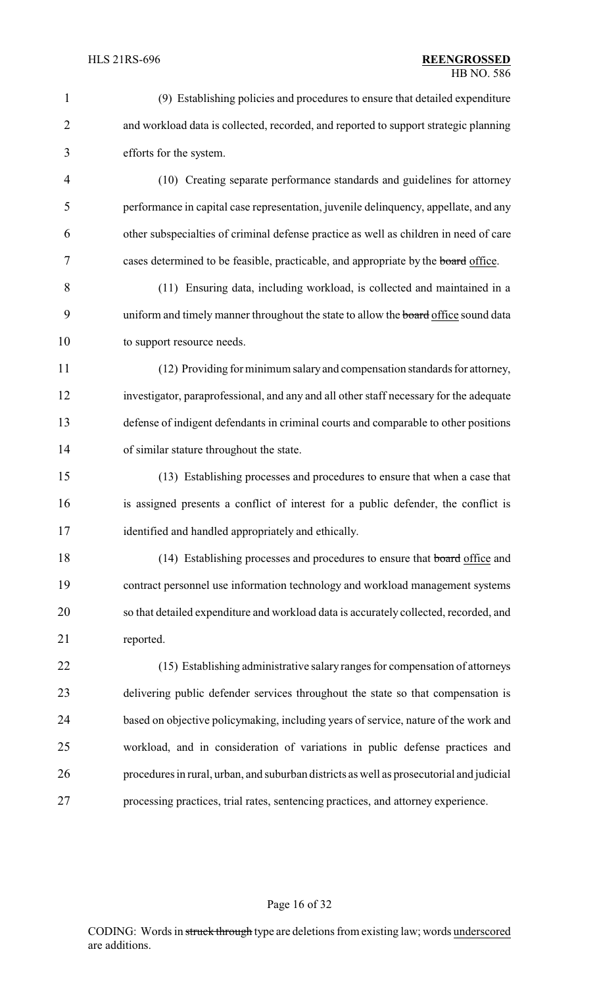| $\mathbf{1}$   | (9) Establishing policies and procedures to ensure that detailed expenditure               |
|----------------|--------------------------------------------------------------------------------------------|
| $\overline{2}$ | and workload data is collected, recorded, and reported to support strategic planning       |
| 3              | efforts for the system.                                                                    |
| $\overline{4}$ | (10) Creating separate performance standards and guidelines for attorney                   |
| 5              | performance in capital case representation, juvenile delinquency, appellate, and any       |
| 6              | other subspecialties of criminal defense practice as well as children in need of care      |
| 7              | cases determined to be feasible, practicable, and appropriate by the board office.         |
| 8              | (11) Ensuring data, including workload, is collected and maintained in a                   |
| 9              | uniform and timely manner throughout the state to allow the <b>board</b> office sound data |
| 10             | to support resource needs.                                                                 |
| 11             | (12) Providing for minimum salary and compensation standards for attorney,                 |
| 12             | investigator, paraprofessional, and any and all other staff necessary for the adequate     |
| 13             | defense of indigent defendants in criminal courts and comparable to other positions        |
| 14             | of similar stature throughout the state.                                                   |
| 15             | (13) Establishing processes and procedures to ensure that when a case that                 |
| 16             | is assigned presents a conflict of interest for a public defender, the conflict is         |
| 17             | identified and handled appropriately and ethically.                                        |
| 18             | (14) Establishing processes and procedures to ensure that board office and                 |
| 19             | contract personnel use information technology and workload management systems              |
| 20             | so that detailed expenditure and workload data is accurately collected, recorded, and      |
| 21             | reported.                                                                                  |
| 22             | (15) Establishing administrative salary ranges for compensation of attorneys               |
| 23             | delivering public defender services throughout the state so that compensation is           |
| 24             | based on objective policymaking, including years of service, nature of the work and        |
| 25             | workload, and in consideration of variations in public defense practices and               |
| 26             | procedures in rural, urban, and suburban districts as well as prosecutorial and judicial   |
| 27             | processing practices, trial rates, sentencing practices, and attorney experience.          |
|                |                                                                                            |

# Page 16 of 32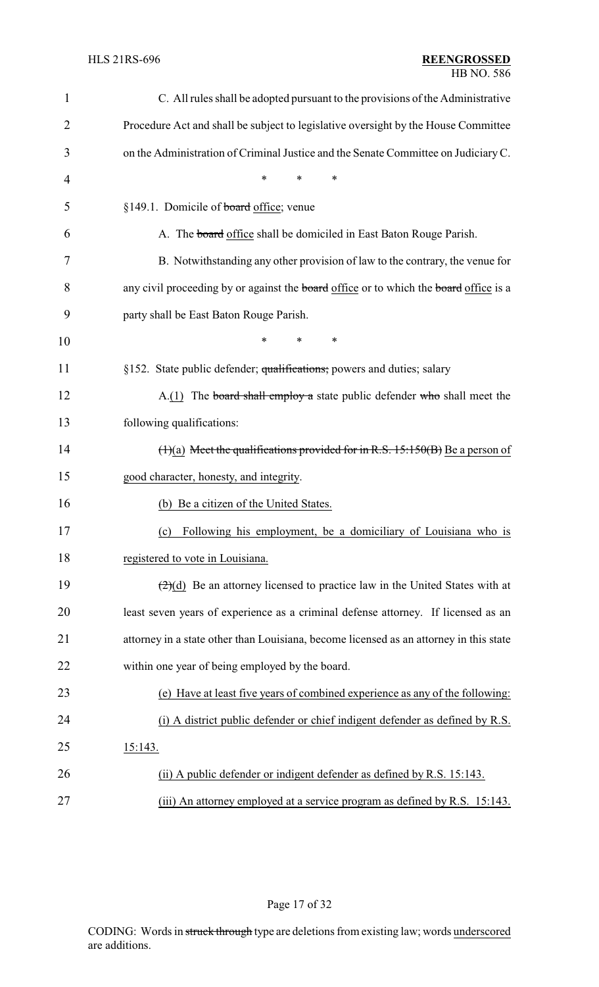### HLS 21RS-696 **REENGROSSED** HB NO. 586

| 1              | C. All rules shall be adopted pursuant to the provisions of the Administrative                     |
|----------------|----------------------------------------------------------------------------------------------------|
| $\overline{2}$ | Procedure Act and shall be subject to legislative oversight by the House Committee                 |
| 3              | on the Administration of Criminal Justice and the Senate Committee on Judiciary C.                 |
| $\overline{4}$ | *<br>$\ast$<br>*                                                                                   |
| 5              | §149.1. Domicile of board office; venue                                                            |
| 6              | A. The board office shall be domiciled in East Baton Rouge Parish.                                 |
| 7              | B. Notwithstanding any other provision of law to the contrary, the venue for                       |
| 8              | any civil proceeding by or against the board office or to which the board office is a              |
| 9              | party shall be East Baton Rouge Parish.                                                            |
| 10             | $\ast$<br>*<br>∗                                                                                   |
| 11             | §152. State public defender; qualifications; powers and duties; salary                             |
| 12             | $A(1)$ The board shall employ a state public defender who shall meet the                           |
| 13             | following qualifications:                                                                          |
| 14             | $(1)(a)$ Meet the qualifications provided for in R.S. 15:150(B) Be a person of                     |
| 15             | good character, honesty, and integrity.                                                            |
| 16             | (b) Be a citizen of the United States.                                                             |
| 17             | Following his employment, be a domiciliary of Louisiana who is<br>(c)                              |
| 18             | registered to vote in Louisiana.                                                                   |
| 19             | $\left(\frac{2}{2}\right)(d)$ Be an attorney licensed to practice law in the United States with at |
| 20             | least seven years of experience as a criminal defense attorney. If licensed as an                  |
| 21             | attorney in a state other than Louisiana, become licensed as an attorney in this state             |
| 22             | within one year of being employed by the board.                                                    |
| 23             | (e) Have at least five years of combined experience as any of the following:                       |
| 24             | (i) A district public defender or chief indigent defender as defined by R.S.                       |
| 25             | 15:143.                                                                                            |
| 26             | (ii) A public defender or indigent defender as defined by R.S. 15:143.                             |
| 27             | (iii) An attorney employed at a service program as defined by R.S. 15:143.                         |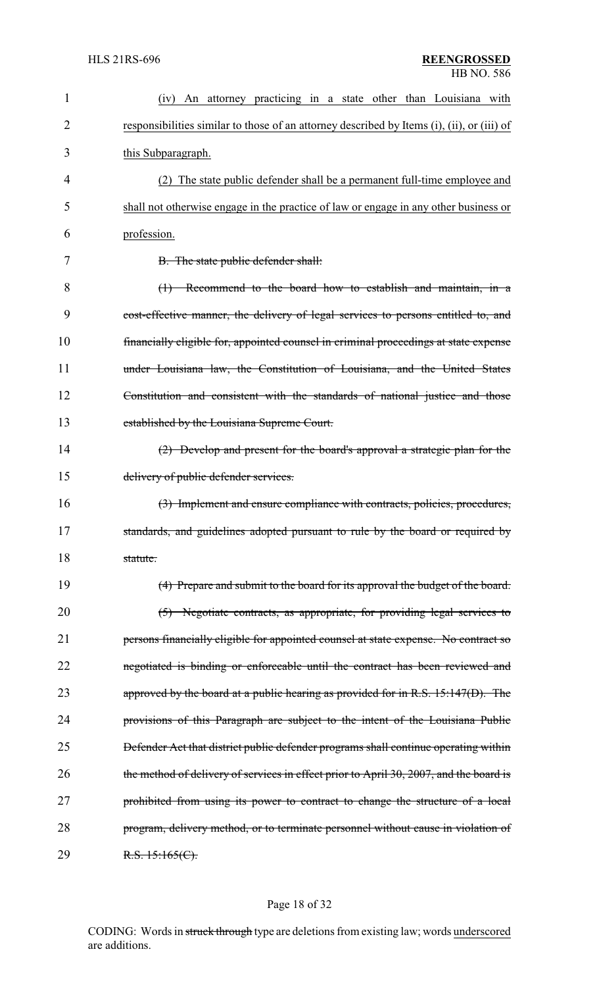| 1              | An attorney practicing in a state other than Louisiana with<br>(1V)                        |
|----------------|--------------------------------------------------------------------------------------------|
| $\overline{2}$ | responsibilities similar to those of an attorney described by Items (i), (ii), or (iii) of |
| 3              | this Subparagraph.                                                                         |
| 4              | (2) The state public defender shall be a permanent full-time employee and                  |
| 5              | shall not otherwise engage in the practice of law or engage in any other business or       |
| 6              | profession.                                                                                |
| 7              | B. The state public defender shall:                                                        |
| 8              | $(1)$ Recommend to the board how to establish and maintain, in a                           |
| 9              | cost-effective manner, the delivery of legal services to persons entitled to, and          |
| 10             | financially eligible for, appointed counsel in criminal proceedings at state expense       |
| 11             | under Louisiana law, the Constitution of Louisiana, and the United States                  |
| 12             | Constitution and consistent with the standards of national justice and those               |
| 13             | established by the Louisiana Supreme Court.                                                |
| 14             | (2) Develop and present for the board's approval a strategic plan for the                  |
| 15             | delivery of public defender services.                                                      |
| 16             | (3) Implement and ensure compliance with contracts, policies, procedures,                  |
| 17             | standards, and guidelines adopted pursuant to rule by the board or required by             |
| 18             | statute.                                                                                   |
| 19             | (4) Prepare and submit to the board for its approval the budget of the board.              |
| 20             | (5) Negotiate contracts, as appropriate, for providing legal services to                   |
| 21             | persons financially eligible for appointed counsel at state expense. No contract so        |
| 22             | negotiated is binding or enforceable until the contract has been reviewed and              |
| 23             | approved by the board at a public hearing as provided for in R.S. $15:147(D)$ . The        |
| 24             | provisions of this Paragraph are subject to the intent of the Louisiana Public             |
| 25             | Defender Act that district public defender programs shall continue operating within        |
| 26             | the method of delivery of services in effect prior to April 30, 2007, and the board is     |
| 27             | prohibited from using its power to contract to change the structure of a local             |
| 28             | program, delivery method, or to terminate personnel without cause in violation of          |
| 29             | R.S. 15:165(C).                                                                            |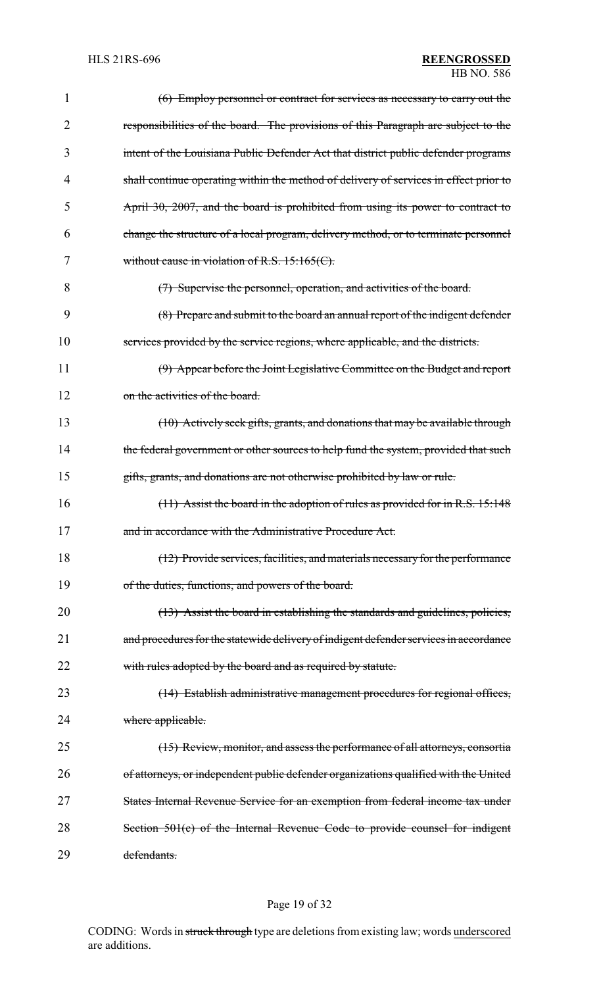| 1  | (6) Employ personnel or contract for services as necessary to carry out the           |
|----|---------------------------------------------------------------------------------------|
| 2  | responsibilities of the board. The provisions of this Paragraph are subject to the    |
| 3  | intent of the Louisiana Public Defender Act that district public defender programs    |
| 4  | shall continue operating within the method of delivery of services in effect prior to |
| 5  | April 30, 2007, and the board is prohibited from using its power to contract to       |
| 6  | change the structure of a local program, delivery method, or to terminate personnel   |
| 7  | without cause in violation of R.S. $15:165(C)$ .                                      |
| 8  | (7) Supervise the personnel, operation, and activities of the board.                  |
| 9  | (8) Prepare and submit to the board an annual report of the indigent defender         |
| 10 | services provided by the service regions, where applicable, and the districts.        |
| 11 | (9) Appear before the Joint Legislative Committee on the Budget and report            |
| 12 | on the activities of the board.                                                       |
| 13 | (10) Actively seek gifts, grants, and donations that may be available through         |
| 14 | the federal government or other sources to help fund the system, provided that such   |
| 15 | gifts, grants, and donations are not otherwise prohibited by law or rule.             |
| 16 | $(11)$ Assist the board in the adoption of rules as provided for in R.S. 15:148       |
| 17 | and in accordance with the Administrative Procedure Act.                              |
| 18 | (12) Provide services, facilities, and materials necessary for the performance        |
| 19 | of the duties, functions, and powers of the board.                                    |
| 20 | (13) Assist the board in establishing the standards and guidelines, policies,         |
| 21 | and procedures for the statewide delivery of indigent defender services in accordance |
| 22 | with rules adopted by the board and as required by statute.                           |
| 23 | (14) Establish administrative management procedures for regional offices,             |
| 24 | where applicable.                                                                     |
| 25 | (15) Review, monitor, and assess the performance of all attorneys, consortia          |
| 26 | of attorneys, or independent public defender organizations qualified with the United  |
| 27 | States Internal Revenue Service for an exemption from federal income tax under        |
| 28 | Section 501(c) of the Internal Revenue Code to provide counsel for indigent           |
| 29 | defendants.                                                                           |

# Page 19 of 32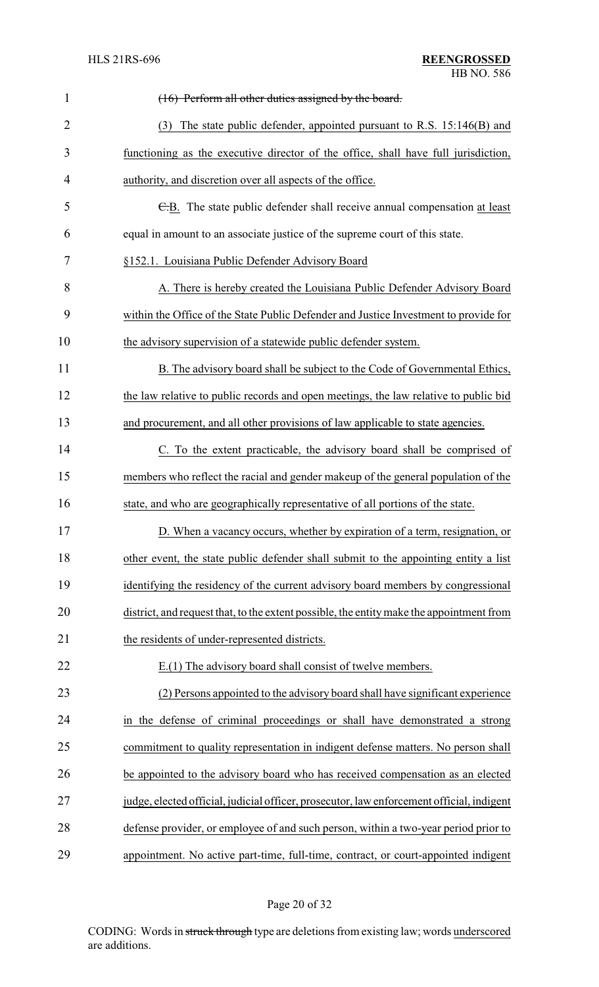| $\mathbf{1}$   | (16) Perform all other duties assigned by the board.                                      |  |  |
|----------------|-------------------------------------------------------------------------------------------|--|--|
| $\overline{2}$ | (3) The state public defender, appointed pursuant to R.S. 15:146(B) and                   |  |  |
| 3              | functioning as the executive director of the office, shall have full jurisdiction,        |  |  |
| 4              | authority, and discretion over all aspects of the office.                                 |  |  |
| 5              | E.B. The state public defender shall receive annual compensation at least                 |  |  |
| 6              | equal in amount to an associate justice of the supreme court of this state.               |  |  |
| 7              | §152.1. Louisiana Public Defender Advisory Board                                          |  |  |
| 8              | A. There is hereby created the Louisiana Public Defender Advisory Board                   |  |  |
| 9              | within the Office of the State Public Defender and Justice Investment to provide for      |  |  |
| 10             | the advisory supervision of a statewide public defender system.                           |  |  |
| 11             | B. The advisory board shall be subject to the Code of Governmental Ethics,                |  |  |
| 12             | the law relative to public records and open meetings, the law relative to public bid      |  |  |
| 13             | and procurement, and all other provisions of law applicable to state agencies.            |  |  |
| 14             | C. To the extent practicable, the advisory board shall be comprised of                    |  |  |
| 15             | members who reflect the racial and gender makeup of the general population of the         |  |  |
| 16             | state, and who are geographically representative of all portions of the state.            |  |  |
| 17             | D. When a vacancy occurs, whether by expiration of a term, resignation, or                |  |  |
| 18             | other event, the state public defender shall submit to the appointing entity a list       |  |  |
| 19             | identifying the residency of the current advisory board members by congressional          |  |  |
| 20             | district, and request that, to the extent possible, the entity make the appointment from  |  |  |
| 21             | the residents of under-represented districts.                                             |  |  |
| 22             | E.(1) The advisory board shall consist of twelve members.                                 |  |  |
| 23             | (2) Persons appointed to the advisory board shall have significant experience             |  |  |
| 24             | in the defense of criminal proceedings or shall have demonstrated a strong                |  |  |
| 25             | commitment to quality representation in indigent defense matters. No person shall         |  |  |
| 26             | be appointed to the advisory board who has received compensation as an elected            |  |  |
| 27             | judge, elected official, judicial officer, prosecutor, law enforcement official, indigent |  |  |
| 28             | defense provider, or employee of and such person, within a two-year period prior to       |  |  |
| 29             | appointment. No active part-time, full-time, contract, or court-appointed indigent        |  |  |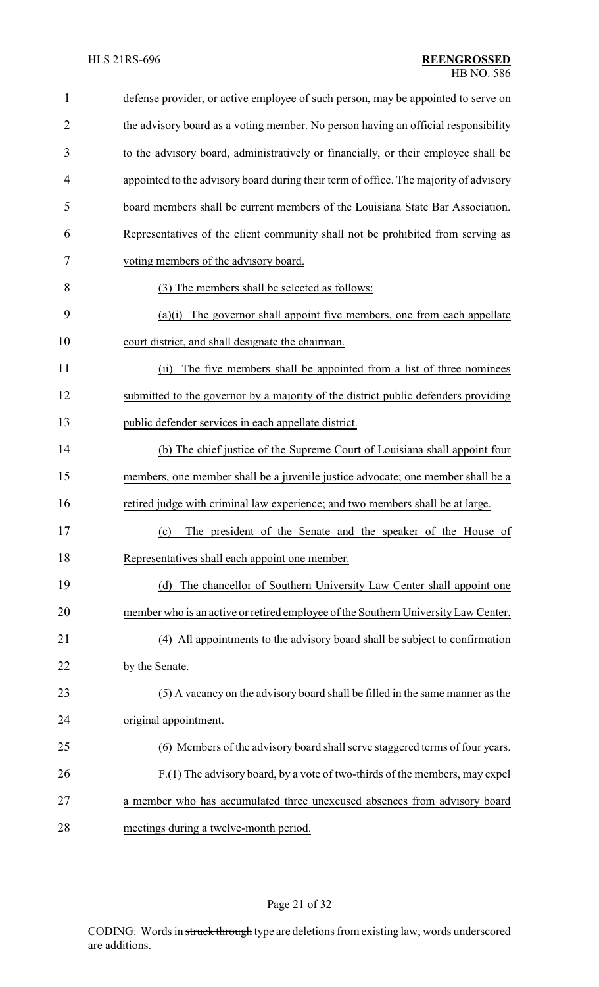| $\mathbf{1}$   | defense provider, or active employee of such person, may be appointed to serve on     |
|----------------|---------------------------------------------------------------------------------------|
| $\overline{2}$ | the advisory board as a voting member. No person having an official responsibility    |
| 3              | to the advisory board, administratively or financially, or their employee shall be    |
| $\overline{4}$ | appointed to the advisory board during their term of office. The majority of advisory |
| 5              | board members shall be current members of the Louisiana State Bar Association.        |
| 6              | Representatives of the client community shall not be prohibited from serving as       |
| 7              | voting members of the advisory board.                                                 |
| 8              | (3) The members shall be selected as follows:                                         |
| 9              | The governor shall appoint five members, one from each appellate<br>(a)(i)            |
| 10             | court district, and shall designate the chairman.                                     |
| 11             | The five members shall be appointed from a list of three nominees<br>(ii)             |
| 12             | submitted to the governor by a majority of the district public defenders providing    |
| 13             | public defender services in each appellate district.                                  |
| 14             | (b) The chief justice of the Supreme Court of Louisiana shall appoint four            |
| 15             | members, one member shall be a juvenile justice advocate; one member shall be a       |
| 16             | retired judge with criminal law experience; and two members shall be at large.        |
| 17             | (c) The president of the Senate and the speaker of the House of                       |
| 18             | Representatives shall each appoint one member.                                        |
| 19             | (d) The chancellor of Southern University Law Center shall appoint one                |
| 20             | member who is an active or retired employee of the Southern University Law Center.    |
| 21             | (4) All appointments to the advisory board shall be subject to confirmation           |
| 22             | by the Senate.                                                                        |
| 23             | (5) A vacancy on the advisory board shall be filled in the same manner as the         |
| 24             | original appointment.                                                                 |
| 25             | (6) Members of the advisory board shall serve staggered terms of four years.          |
| 26             | F.(1) The advisory board, by a vote of two-thirds of the members, may expel           |
| 27             | a member who has accumulated three unexcused absences from advisory board             |
| 28             | meetings during a twelve-month period.                                                |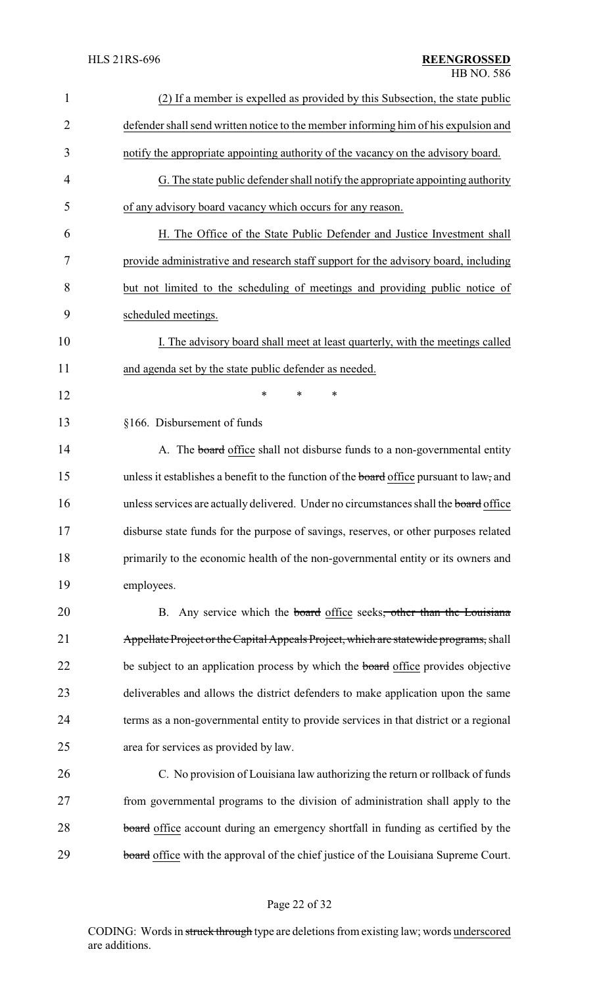| 1              | (2) If a member is expelled as provided by this Subsection, the state public             |  |
|----------------|------------------------------------------------------------------------------------------|--|
| $\overline{2}$ | defender shall send written notice to the member informing him of his expulsion and      |  |
| 3              | notify the appropriate appointing authority of the vacancy on the advisory board.        |  |
| 4              | G. The state public defender shall notify the appropriate appointing authority           |  |
| 5              | of any advisory board vacancy which occurs for any reason.                               |  |
| 6              | H. The Office of the State Public Defender and Justice Investment shall                  |  |
| 7              | provide administrative and research staff support for the advisory board, including      |  |
| 8              | but not limited to the scheduling of meetings and providing public notice of             |  |
| 9              | scheduled meetings.                                                                      |  |
| 10             | I. The advisory board shall meet at least quarterly, with the meetings called            |  |
| 11             | and agenda set by the state public defender as needed.                                   |  |
| 12             | $\ast$<br>*<br>*                                                                         |  |
| 13             | §166. Disbursement of funds                                                              |  |
| 14             | A. The <b>board</b> office shall not disburse funds to a non-governmental entity         |  |
| 15             | unless it establishes a benefit to the function of the board office pursuant to law, and |  |
| 16             | unless services are actually delivered. Under no circumstances shall the board office    |  |
| 17             | disburse state funds for the purpose of savings, reserves, or other purposes related     |  |
| 18             | primarily to the economic health of the non-governmental entity or its owners and        |  |
| 19             | employees.                                                                               |  |
| 20             | B. Any service which the board office seeks, other than the Louisiana                    |  |
| 21             | Appellate Project or the Capital Appeals Project, which are statewide programs, shall    |  |
| 22             | be subject to an application process by which the <b>board</b> office provides objective |  |
| 23             | deliverables and allows the district defenders to make application upon the same         |  |
| 24             | terms as a non-governmental entity to provide services in that district or a regional    |  |
| 25             | area for services as provided by law.                                                    |  |
| 26             | C. No provision of Louisiana law authorizing the return or rollback of funds             |  |
| 27             | from governmental programs to the division of administration shall apply to the          |  |
| 28             | board office account during an emergency shortfall in funding as certified by the        |  |
| 29             | board office with the approval of the chief justice of the Louisiana Supreme Court.      |  |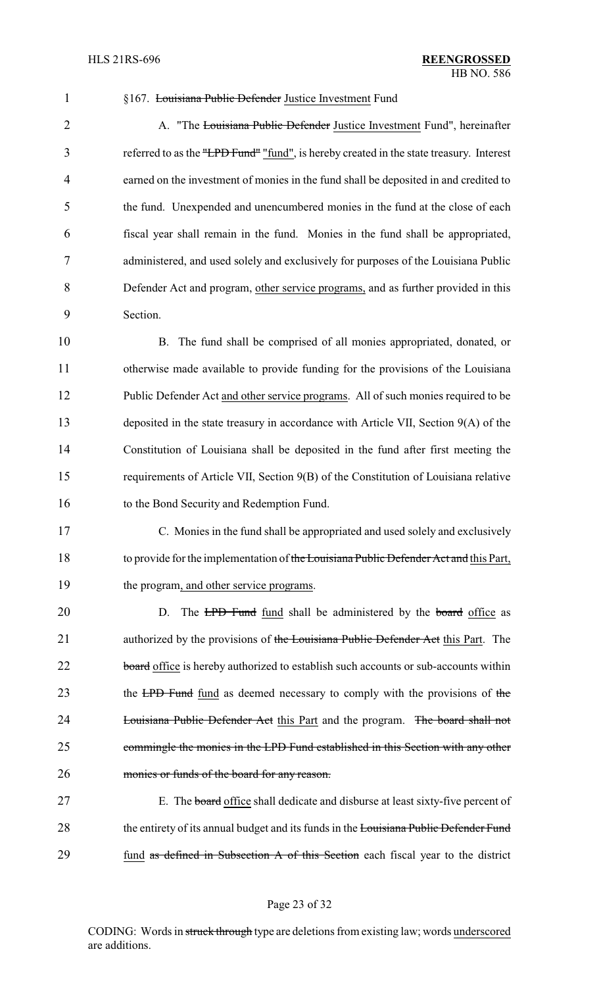§167. Louisiana Public Defender Justice Investment Fund

2 A. The Louisiana Public Defender Justice Investment Fund", hereinafter referred to as the "LPD Fund" "fund", is hereby created in the state treasury. Interest earned on the investment of monies in the fund shall be deposited in and credited to the fund. Unexpended and unencumbered monies in the fund at the close of each fiscal year shall remain in the fund. Monies in the fund shall be appropriated, administered, and used solely and exclusively for purposes of the Louisiana Public Defender Act and program, other service programs, and as further provided in this Section. B. The fund shall be comprised of all monies appropriated, donated, or otherwise made available to provide funding for the provisions of the Louisiana Public Defender Act and other service programs. All of such monies required to be deposited in the state treasury in accordance with Article VII, Section 9(A) of the Constitution of Louisiana shall be deposited in the fund after first meeting the requirements of Article VII, Section 9(B) of the Constitution of Louisiana relative to the Bond Security and Redemption Fund. C. Monies in the fund shall be appropriated and used solely and exclusively 18 to provide for the implementation of the Louisiana Public Defender Act and this Part, the program, and other service programs. 20 D. The LPD Fund fund shall be administered by the board office as 21 authorized by the provisions of the Louisiana Public Defender Act this Part. The 22 board office is hereby authorized to establish such accounts or sub-accounts within 23 the LPD Fund fund as deemed necessary to comply with the provisions of the **Louisiana Public Defender Act this Part and the program.** The board shall not commingle the monies in the LPD Fund established in this Section with any other monies or funds of the board for any reason. E. The board office shall dedicate and disburse at least sixty-five percent of 28 the entirety of its annual budget and its funds in the Louisiana Public Defender Fund fund as defined in Subsection A of this Section each fiscal year to the district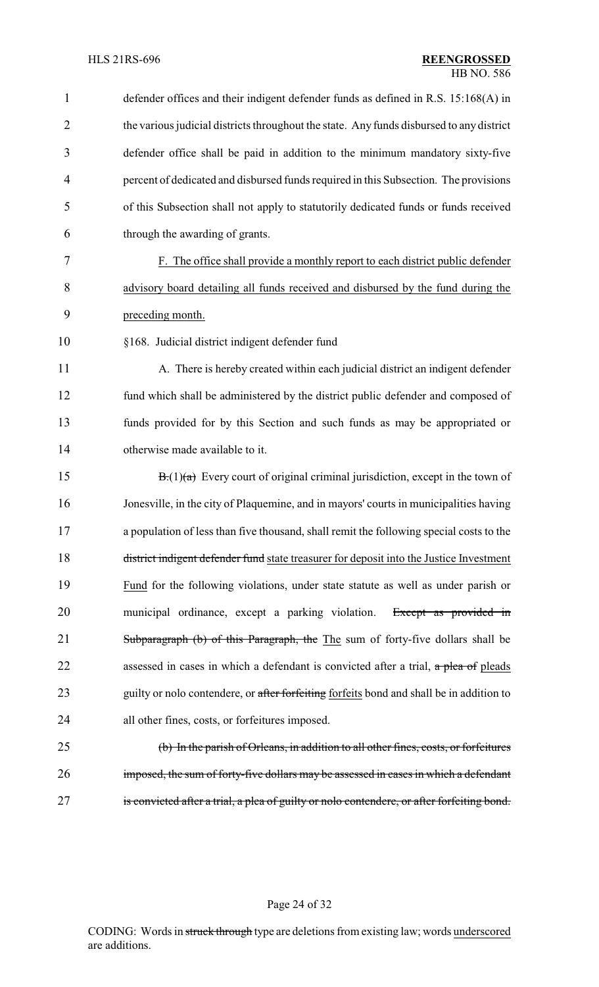| 1              | defender offices and their indigent defender funds as defined in R.S. 15:168(A) in         |  |
|----------------|--------------------------------------------------------------------------------------------|--|
| $\overline{2}$ | the various judicial districts throughout the state. Any funds disbursed to any district   |  |
| 3              | defender office shall be paid in addition to the minimum mandatory sixty-five              |  |
| $\overline{4}$ | percent of dedicated and disbursed funds required in this Subsection. The provisions       |  |
| 5              | of this Subsection shall not apply to statutorily dedicated funds or funds received        |  |
| 6              | through the awarding of grants.                                                            |  |
| 7              | F. The office shall provide a monthly report to each district public defender              |  |
| 8              | advisory board detailing all funds received and disbursed by the fund during the           |  |
| 9              | preceding month.                                                                           |  |
| 10             | §168. Judicial district indigent defender fund                                             |  |
| 11             | A. There is hereby created within each judicial district an indigent defender              |  |
| 12             | fund which shall be administered by the district public defender and composed of           |  |
| 13             | funds provided for by this Section and such funds as may be appropriated or                |  |
| 14             | otherwise made available to it.                                                            |  |
| 15             | $B(1)(a)$ Every court of original criminal jurisdiction, except in the town of             |  |
| 16             | Jonesville, in the city of Plaquemine, and in mayors' courts in municipalities having      |  |
| 17             | a population of less than five thousand, shall remit the following special costs to the    |  |
| 18             | district indigent defender fund state treasurer for deposit into the Justice Investment    |  |
| 19             | Fund for the following violations, under state statute as well as under parish or          |  |
| 20             | municipal ordinance, except a parking violation.<br>Except as provided in                  |  |
| 21             | Subparagraph (b) of this Paragraph, the The sum of forty-five dollars shall be             |  |
| 22             | assessed in cases in which a defendant is convicted after a trial, $\alpha$ plea of pleads |  |
| 23             | guilty or nolo contendere, or after forfeiting forfeits bond and shall be in addition to   |  |
| 24             | all other fines, costs, or forfeitures imposed.                                            |  |
| 25             | (b) In the parish of Orleans, in addition to all other fines, costs, or forfeitures        |  |
| 26             | imposed, the sum of forty-five dollars may be assessed in cases in which a defendant       |  |
| 27             | is convicted after a trial, a plea of guilty or nolo contendere, or after forfeiting bond. |  |
|                |                                                                                            |  |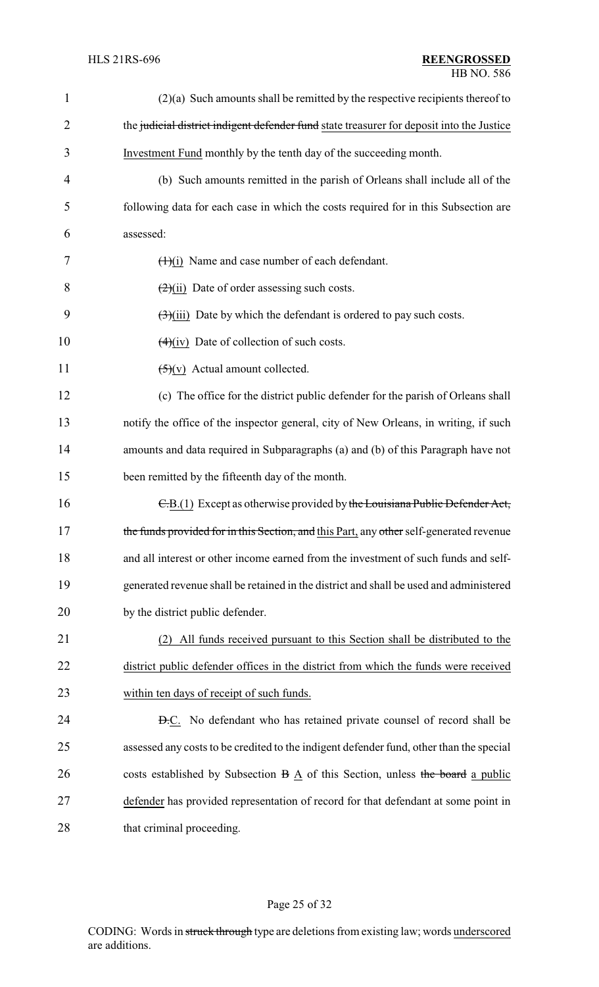| 1              | $(2)(a)$ Such amounts shall be remitted by the respective recipients thereof to            |  |
|----------------|--------------------------------------------------------------------------------------------|--|
| $\overline{2}$ | the judicial district indigent defender fund state treasurer for deposit into the Justice  |  |
| 3              | Investment Fund monthly by the tenth day of the succeeding month.                          |  |
| 4              | (b) Such amounts remitted in the parish of Orleans shall include all of the                |  |
| 5              | following data for each case in which the costs required for in this Subsection are        |  |
| 6              | assessed:                                                                                  |  |
| 7              | $(1)(i)$ Name and case number of each defendant.                                           |  |
| 8              | $\frac{2}{(2)(ii)}$ Date of order assessing such costs.                                    |  |
| 9              | $\left(\frac{1}{2}\right)$ (iii) Date by which the defendant is ordered to pay such costs. |  |
| 10             | $(4)(iv)$ Date of collection of such costs.                                                |  |
| 11             | $\left(\frac{5}{2}\right)(v)$ Actual amount collected.                                     |  |
| 12             | (c) The office for the district public defender for the parish of Orleans shall            |  |
| 13             | notify the office of the inspector general, city of New Orleans, in writing, if such       |  |
| 14             | amounts and data required in Subparagraphs (a) and (b) of this Paragraph have not          |  |
| 15             | been remitted by the fifteenth day of the month.                                           |  |
| 16             | E.B.(1) Except as otherwise provided by the Louisiana Public Defender Act,                 |  |
| 17             | the funds provided for in this Section, and this Part, any other self-generated revenue    |  |
| 18             | and all interest or other income earned from the investment of such funds and self-        |  |
| 19             | generated revenue shall be retained in the district and shall be used and administered     |  |
| 20             | by the district public defender.                                                           |  |
| 21             | (2) All funds received pursuant to this Section shall be distributed to the                |  |
| 22             | district public defender offices in the district from which the funds were received        |  |
| 23             | within ten days of receipt of such funds.                                                  |  |
| 24             | <b>D.C.</b> No defendant who has retained private counsel of record shall be               |  |
| 25             | assessed any costs to be credited to the indigent defender fund, other than the special    |  |
| 26             | costs established by Subsection B A of this Section, unless the board a public             |  |
| 27             | defender has provided representation of record for that defendant at some point in         |  |
| 28             | that criminal proceeding.                                                                  |  |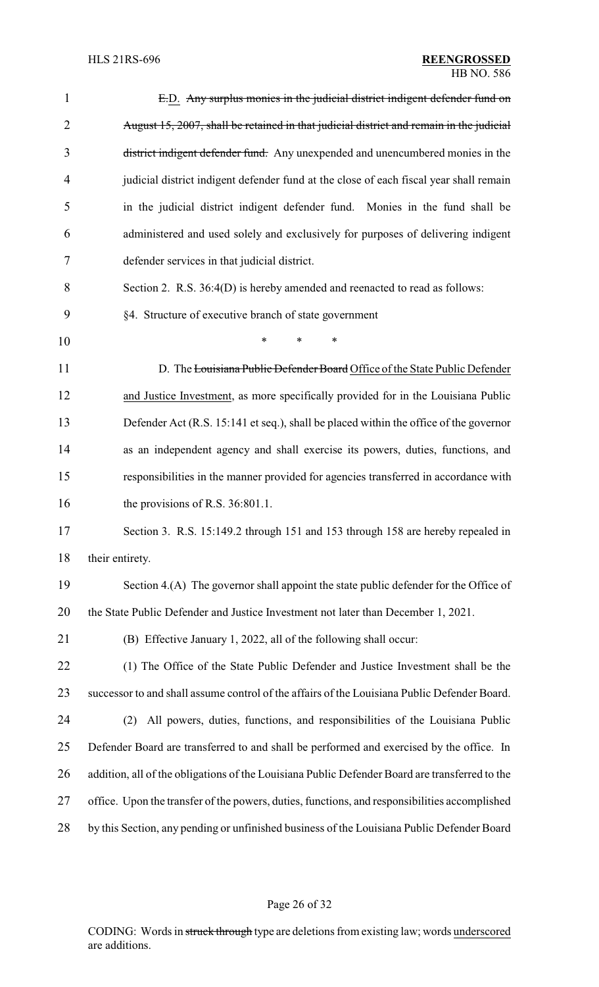| $\mathbf{1}$   | E.D. Any surplus monies in the judicial district indigent defender fund on                     |  |
|----------------|------------------------------------------------------------------------------------------------|--|
| $\overline{2}$ | August 15, 2007, shall be retained in that judicial district and remain in the judicial        |  |
| 3              | district indigent defender fund. Any unexpended and unencumbered monies in the                 |  |
| $\overline{4}$ | judicial district indigent defender fund at the close of each fiscal year shall remain         |  |
| 5              | in the judicial district indigent defender fund. Monies in the fund shall be                   |  |
| 6              | administered and used solely and exclusively for purposes of delivering indigent               |  |
| 7              | defender services in that judicial district.                                                   |  |
| 8              | Section 2. R.S. 36:4(D) is hereby amended and reenacted to read as follows:                    |  |
| 9              | §4. Structure of executive branch of state government                                          |  |
| 10             | $\ast$<br>*<br>*                                                                               |  |
| 11             | D. The Louisiana Public Defender Board Office of the State Public Defender                     |  |
| 12             | and Justice Investment, as more specifically provided for in the Louisiana Public              |  |
| 13             | Defender Act (R.S. 15:141 et seq.), shall be placed within the office of the governor          |  |
| 14             | as an independent agency and shall exercise its powers, duties, functions, and                 |  |
| 15             | responsibilities in the manner provided for agencies transferred in accordance with            |  |
| 16             | the provisions of R.S. 36:801.1.                                                               |  |
| 17             | Section 3. R.S. 15:149.2 through 151 and 153 through 158 are hereby repealed in                |  |
| 18             | their entirety.                                                                                |  |
| 19             | Section 4.(A) The governor shall appoint the state public defender for the Office of           |  |
| 20             | the State Public Defender and Justice Investment not later than December 1, 2021.              |  |
| 21             | (B) Effective January 1, 2022, all of the following shall occur:                               |  |
| 22             | (1) The Office of the State Public Defender and Justice Investment shall be the                |  |
| 23             | successor to and shall assume control of the affairs of the Louisiana Public Defender Board.   |  |
| 24             | All powers, duties, functions, and responsibilities of the Louisiana Public<br>(2)             |  |
| 25             | Defender Board are transferred to and shall be performed and exercised by the office. In       |  |
| 26             | addition, all of the obligations of the Louisiana Public Defender Board are transferred to the |  |
| 27             | office. Upon the transfer of the powers, duties, functions, and responsibilities accomplished  |  |
| 28             | by this Section, any pending or unfinished business of the Louisiana Public Defender Board     |  |

# Page 26 of 32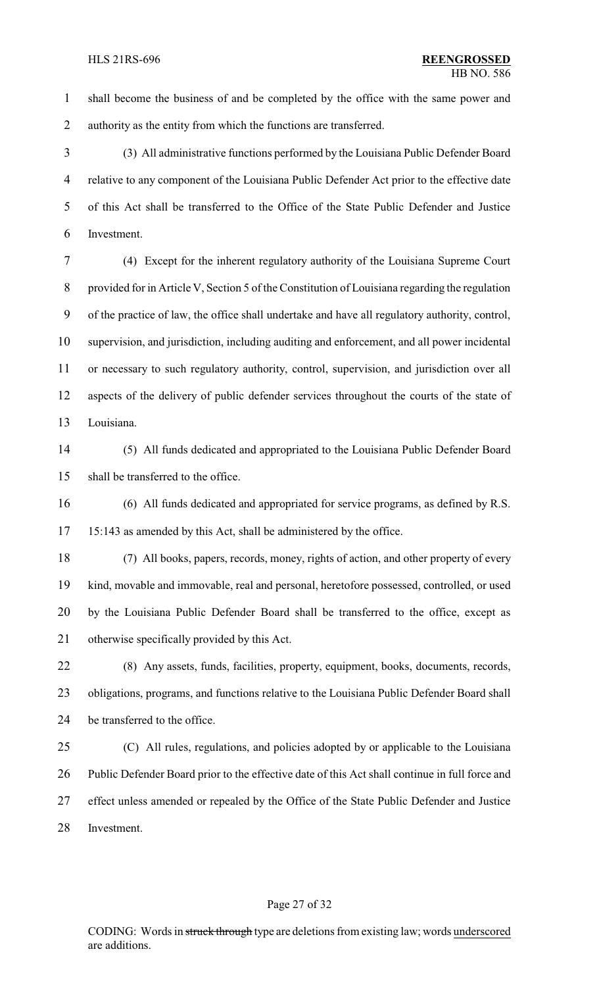shall become the business of and be completed by the office with the same power and authority as the entity from which the functions are transferred.

 (3) All administrative functions performed by the Louisiana Public Defender Board relative to any component of the Louisiana Public Defender Act prior to the effective date of this Act shall be transferred to the Office of the State Public Defender and Justice Investment.

 (4) Except for the inherent regulatory authority of the Louisiana Supreme Court provided for in Article V, Section 5 of the Constitution of Louisiana regarding the regulation of the practice of law, the office shall undertake and have all regulatory authority, control, supervision, and jurisdiction, including auditing and enforcement, and all power incidental or necessary to such regulatory authority, control, supervision, and jurisdiction over all aspects of the delivery of public defender services throughout the courts of the state of Louisiana.

 (5) All funds dedicated and appropriated to the Louisiana Public Defender Board shall be transferred to the office.

 (6) All funds dedicated and appropriated for service programs, as defined by R.S. 15:143 as amended by this Act, shall be administered by the office.

 (7) All books, papers, records, money, rights of action, and other property of every kind, movable and immovable, real and personal, heretofore possessed, controlled, or used by the Louisiana Public Defender Board shall be transferred to the office, except as otherwise specifically provided by this Act.

 (8) Any assets, funds, facilities, property, equipment, books, documents, records, obligations, programs, and functions relative to the Louisiana Public Defender Board shall be transferred to the office.

 (C) All rules, regulations, and policies adopted by or applicable to the Louisiana Public Defender Board prior to the effective date of this Act shall continue in full force and effect unless amended or repealed by the Office of the State Public Defender and Justice Investment.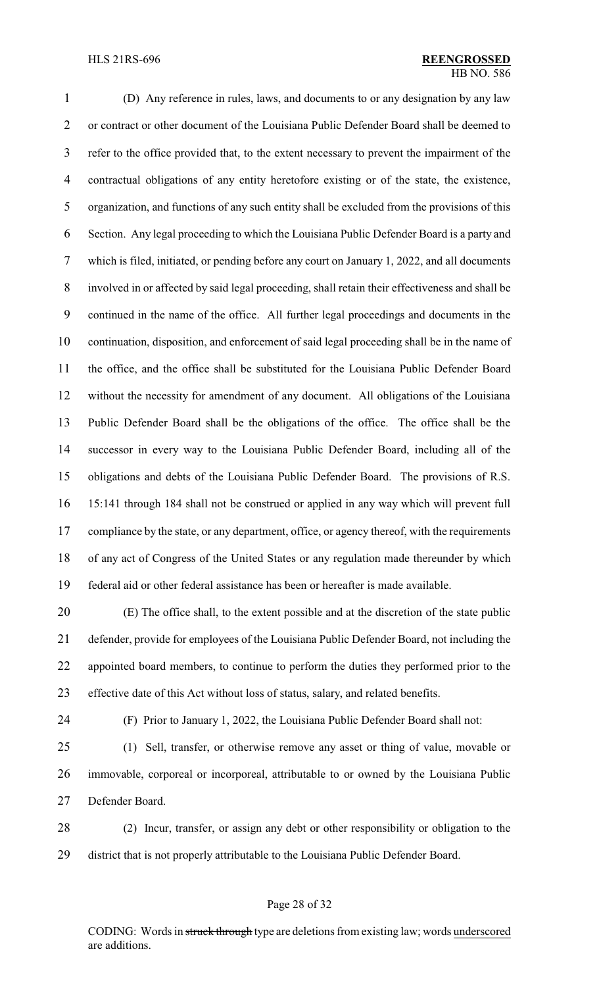(D) Any reference in rules, laws, and documents to or any designation by any law or contract or other document of the Louisiana Public Defender Board shall be deemed to refer to the office provided that, to the extent necessary to prevent the impairment of the contractual obligations of any entity heretofore existing or of the state, the existence, organization, and functions of any such entity shall be excluded from the provisions of this Section. Any legal proceeding to which the Louisiana Public Defender Board is a party and which is filed, initiated, or pending before any court on January 1, 2022, and all documents involved in or affected by said legal proceeding, shall retain their effectiveness and shall be continued in the name of the office. All further legal proceedings and documents in the continuation, disposition, and enforcement of said legal proceeding shall be in the name of the office, and the office shall be substituted for the Louisiana Public Defender Board without the necessity for amendment of any document. All obligations of the Louisiana Public Defender Board shall be the obligations of the office. The office shall be the successor in every way to the Louisiana Public Defender Board, including all of the obligations and debts of the Louisiana Public Defender Board. The provisions of R.S. 15:141 through 184 shall not be construed or applied in any way which will prevent full 17 compliance by the state, or any department, office, or agency thereof, with the requirements of any act of Congress of the United States or any regulation made thereunder by which federal aid or other federal assistance has been or hereafter is made available.

 (E) The office shall, to the extent possible and at the discretion of the state public defender, provide for employees of the Louisiana Public Defender Board, not including the appointed board members, to continue to perform the duties they performed prior to the effective date of this Act without loss of status, salary, and related benefits.

(F) Prior to January 1, 2022, the Louisiana Public Defender Board shall not:

 (1) Sell, transfer, or otherwise remove any asset or thing of value, movable or immovable, corporeal or incorporeal, attributable to or owned by the Louisiana Public Defender Board.

 (2) Incur, transfer, or assign any debt or other responsibility or obligation to the district that is not properly attributable to the Louisiana Public Defender Board.

#### Page 28 of 32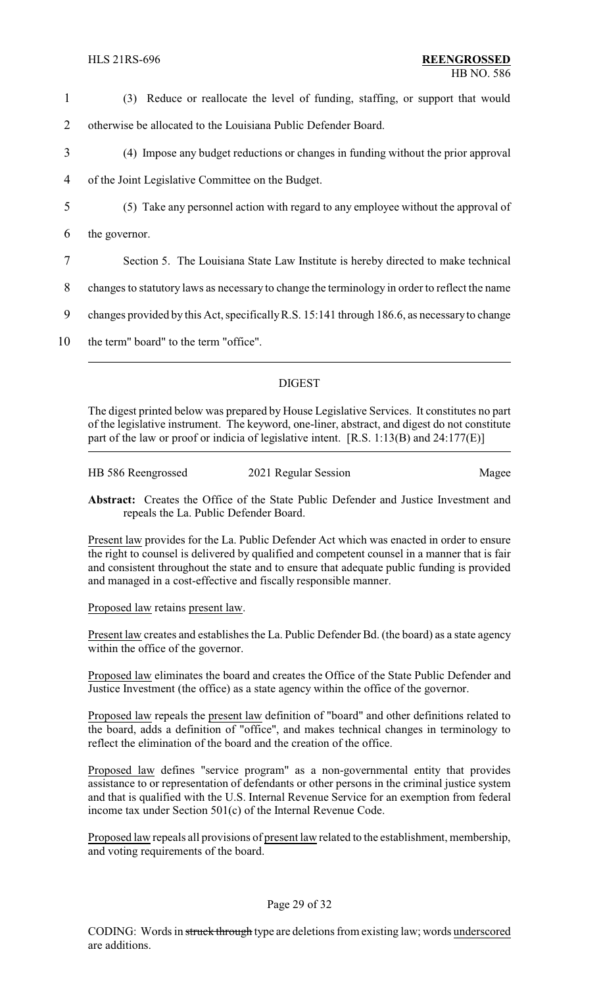- 1 (3) Reduce or reallocate the level of funding, staffing, or support that would
- 2 otherwise be allocated to the Louisiana Public Defender Board.
- 3 (4) Impose any budget reductions or changes in funding without the prior approval
- 4 of the Joint Legislative Committee on the Budget.
- 5 (5) Take any personnel action with regard to any employee without the approval of
- 6 the governor.
- 7 Section 5. The Louisiana State Law Institute is hereby directed to make technical
- 8 changes to statutory laws as necessary to change the terminology in order to reflect the name
- 9 changes provided by this Act, specificallyR.S. 15:141 through 186.6, as necessaryto change
- 10 the term" board" to the term "office".

### DIGEST

The digest printed below was prepared by House Legislative Services. It constitutes no part of the legislative instrument. The keyword, one-liner, abstract, and digest do not constitute part of the law or proof or indicia of legislative intent. [R.S. 1:13(B) and 24:177(E)]

| HB 586 Reengrossed | 2021 Regular Session | Magee |
|--------------------|----------------------|-------|
|                    |                      |       |

**Abstract:** Creates the Office of the State Public Defender and Justice Investment and repeals the La. Public Defender Board.

Present law provides for the La. Public Defender Act which was enacted in order to ensure the right to counsel is delivered by qualified and competent counsel in a manner that is fair and consistent throughout the state and to ensure that adequate public funding is provided and managed in a cost-effective and fiscally responsible manner.

### Proposed law retains present law.

Present law creates and establishes the La. Public Defender Bd. (the board) as a state agency within the office of the governor.

Proposed law eliminates the board and creates the Office of the State Public Defender and Justice Investment (the office) as a state agency within the office of the governor.

Proposed law repeals the present law definition of "board" and other definitions related to the board, adds a definition of "office", and makes technical changes in terminology to reflect the elimination of the board and the creation of the office.

Proposed law defines "service program" as a non-governmental entity that provides assistance to or representation of defendants or other persons in the criminal justice system and that is qualified with the U.S. Internal Revenue Service for an exemption from federal income tax under Section 501(c) of the Internal Revenue Code.

Proposed law repeals all provisions of present law related to the establishment, membership, and voting requirements of the board.

### Page 29 of 32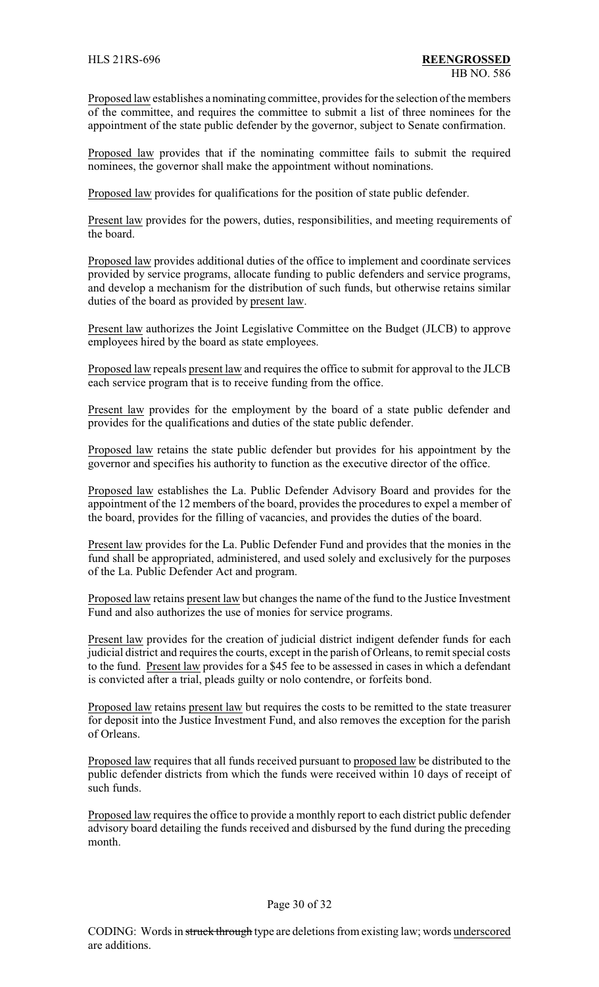Proposed law establishes a nominating committee, provides for the selection of the members of the committee, and requires the committee to submit a list of three nominees for the appointment of the state public defender by the governor, subject to Senate confirmation.

Proposed law provides that if the nominating committee fails to submit the required nominees, the governor shall make the appointment without nominations.

Proposed law provides for qualifications for the position of state public defender.

Present law provides for the powers, duties, responsibilities, and meeting requirements of the board.

Proposed law provides additional duties of the office to implement and coordinate services provided by service programs, allocate funding to public defenders and service programs, and develop a mechanism for the distribution of such funds, but otherwise retains similar duties of the board as provided by present law.

Present law authorizes the Joint Legislative Committee on the Budget (JLCB) to approve employees hired by the board as state employees.

Proposed law repeals present law and requires the office to submit for approval to the JLCB each service program that is to receive funding from the office.

Present law provides for the employment by the board of a state public defender and provides for the qualifications and duties of the state public defender.

Proposed law retains the state public defender but provides for his appointment by the governor and specifies his authority to function as the executive director of the office.

Proposed law establishes the La. Public Defender Advisory Board and provides for the appointment of the 12 members of the board, provides the procedures to expel a member of the board, provides for the filling of vacancies, and provides the duties of the board.

Present law provides for the La. Public Defender Fund and provides that the monies in the fund shall be appropriated, administered, and used solely and exclusively for the purposes of the La. Public Defender Act and program.

Proposed law retains present law but changes the name of the fund to the Justice Investment Fund and also authorizes the use of monies for service programs.

Present law provides for the creation of judicial district indigent defender funds for each judicial district and requires the courts, except in the parish of Orleans, to remit special costs to the fund. Present law provides for a \$45 fee to be assessed in cases in which a defendant is convicted after a trial, pleads guilty or nolo contendre, or forfeits bond.

Proposed law retains present law but requires the costs to be remitted to the state treasurer for deposit into the Justice Investment Fund, and also removes the exception for the parish of Orleans.

Proposed law requires that all funds received pursuant to proposed law be distributed to the public defender districts from which the funds were received within 10 days of receipt of such funds.

Proposed law requires the office to provide a monthly report to each district public defender advisory board detailing the funds received and disbursed by the fund during the preceding month.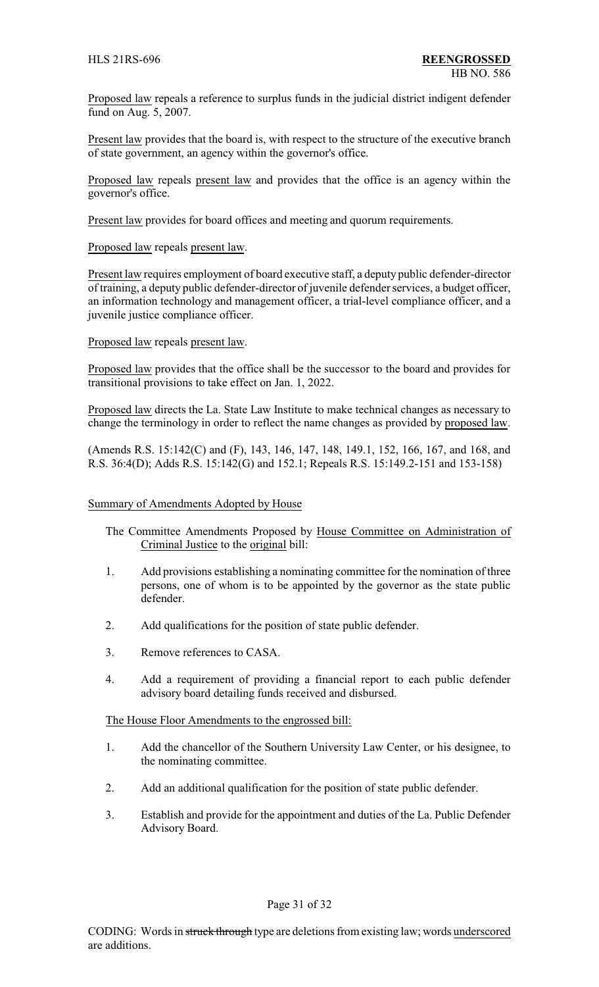Proposed law repeals a reference to surplus funds in the judicial district indigent defender fund on Aug. 5, 2007.

Present law provides that the board is, with respect to the structure of the executive branch of state government, an agency within the governor's office.

Proposed law repeals present law and provides that the office is an agency within the governor's office.

Present law provides for board offices and meeting and quorum requirements.

Proposed law repeals present law.

Present law requires employment of board executive staff, a deputy public defender-director of training, a deputy public defender-director of juvenile defender services, a budget officer, an information technology and management officer, a trial-level compliance officer, and a juvenile justice compliance officer.

Proposed law repeals present law.

Proposed law provides that the office shall be the successor to the board and provides for transitional provisions to take effect on Jan. 1, 2022.

Proposed law directs the La. State Law Institute to make technical changes as necessary to change the terminology in order to reflect the name changes as provided by proposed law.

(Amends R.S. 15:142(C) and (F), 143, 146, 147, 148, 149.1, 152, 166, 167, and 168, and R.S. 36:4(D); Adds R.S. 15:142(G) and 152.1; Repeals R.S. 15:149.2-151 and 153-158)

### Summary of Amendments Adopted by House

- The Committee Amendments Proposed by House Committee on Administration of Criminal Justice to the original bill:
- 1. Add provisions establishing a nominating committee for the nomination of three persons, one of whom is to be appointed by the governor as the state public defender.
- 2. Add qualifications for the position of state public defender.
- 3. Remove references to CASA.
- 4. Add a requirement of providing a financial report to each public defender advisory board detailing funds received and disbursed.

The House Floor Amendments to the engrossed bill:

- 1. Add the chancellor of the Southern University Law Center, or his designee, to the nominating committee.
- 2. Add an additional qualification for the position of state public defender.
- 3. Establish and provide for the appointment and duties of the La. Public Defender Advisory Board.